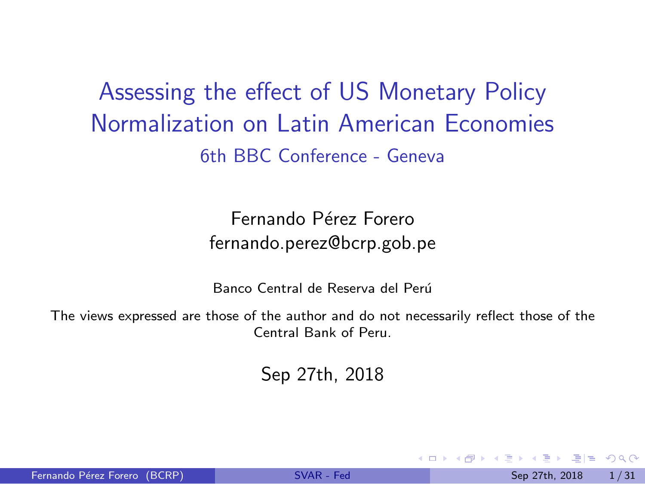<span id="page-0-1"></span><span id="page-0-0"></span>Assessing the effect of US Monetary Policy Normalization on Latin American Economies 6th BBC Conference - Geneva

> Fernando Pérez Forero fernando.perez@bcrp.gob.pe

Banco Central de Reserva del Perú

The views expressed are those of the author and do not necessarily reflect those of the Central Bank of Peru.

Sep 27th, 2018

 $E|E \cap Q$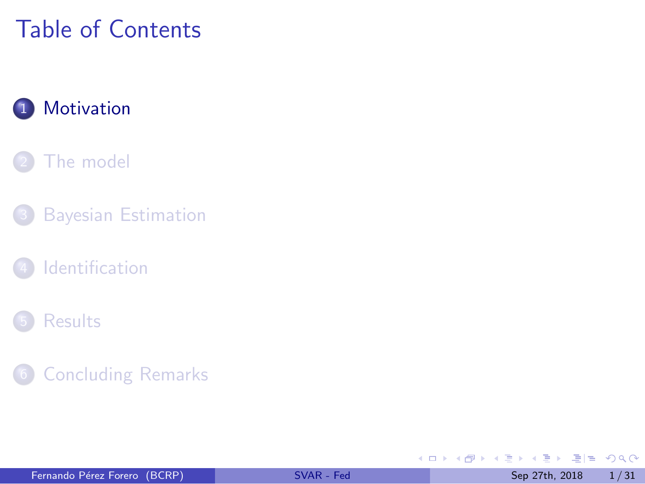# <span id="page-1-0"></span>Table of Contents

### 1 [Motivation](#page-1-0)

#### [The model](#page-7-0)

- **[Bayesian Estimation](#page-21-0)**
- **[Identification](#page-25-0)**

#### **[Results](#page-28-0)**

#### **[Concluding Remarks](#page-33-0)**

 $\rightarrow \equiv$  > **IN** 

4 ロト 4 何 ト 4 日

 $E|E| \leq 990$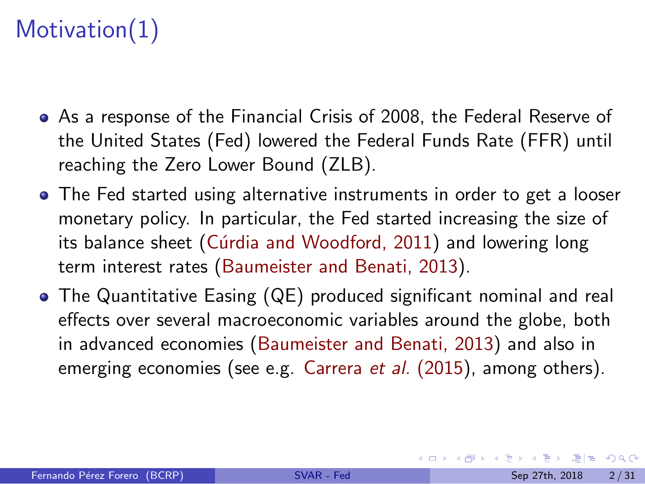# Motivation(1)

- As a response of the Financial Crisis of 2008, the Federal Reserve of the United States (Fed) lowered the Federal Funds Rate (FFR) until reaching the Zero Lower Bound (ZLB).
- The Fed started using alternative instruments in order to get a looser monetary policy. In particular, the Fed started increasing the size of its balance sheet (Cúrdia and Woodford, 2011) and lowering long term interest rates [\(Baumeister and Benati, 2013\)](#page-61-0).
- The Quantitative Easing (QE) produced significant nominal and real effects over several macroeconomic variables around the globe, both in advanced economies [\(Baumeister and Benati, 2013\)](#page-61-0) and also in emerging economies (see e.g. [Carrera](#page-62-1) *et al.* (2015), among others).

K □ ▶ K 何 ▶ K 로 ▶ K 로 ▶ 그리는 K) Q (^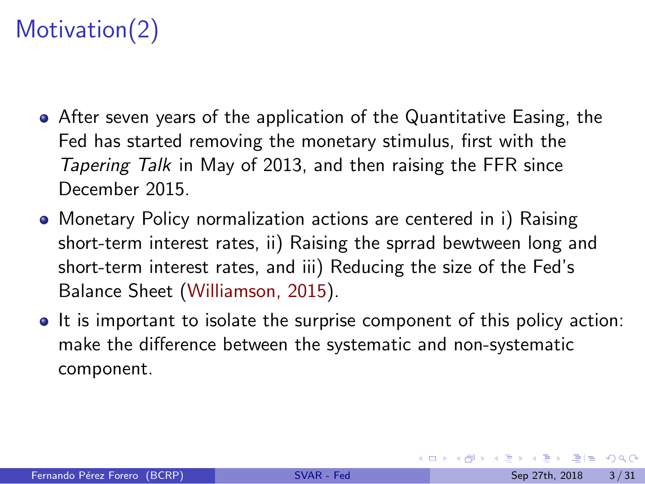# Motivation(2)

- After seven years of the application of the Quantitative Easing, the Fed has started removing the monetary stimulus, first with the *Tapering Talk* in May of 2013, and then raising the FFR since December 2015.
- Monetary Policy normalization actions are centered in i) Raising short-term interest rates, ii) Raising the sprrad bewtween long and short-term interest rates, and iii) Reducing the size of the Fed's Balance Sheet [\(Williamson, 2015\)](#page-65-0).
- It is important to isolate the surprise component of this policy action: make the difference between the systematic and non-systematic component.

H K A D K X D K 그 D A A Q Q Q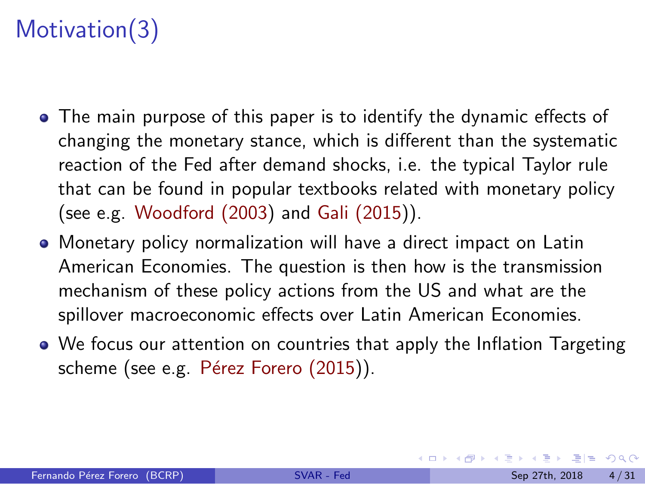# Motivation(3)

- The main purpose of this paper is to identify the dynamic effects of changing the monetary stance, which is different than the systematic reaction of the Fed after demand shocks, i.e. the typical Taylor rule that can be found in popular textbooks related with monetary policy (see e.g. [Woodford \(2003\)](#page-65-1) and [Gali \(2015\)](#page-63-0)).
- Monetary policy normalization will have a direct impact on Latin American Economies. The question is then how is the transmission mechanism of these policy actions from the US and what are the spillover macroeconomic effects over Latin American Economies.
- We focus our attention on countries that apply the Inflation Targeting scheme (see e.g. Pérez Forero (2015)).

K □ ▶ K 何 ▶ K 로 ▶ K 로 ▶ 그리는 K) Q (^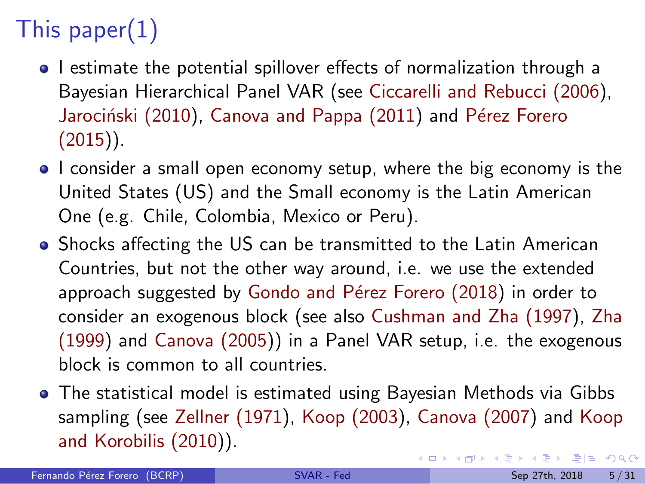# <span id="page-5-0"></span>This paper(1)

- I estimate the potential spillover effects of normalization through a Bayesian Hierarchical Panel VAR (see [Ciccarelli and Rebucci \(2006\)](#page-62-2), Jarociński (2010), [Canova and Pappa \(2011\)](#page-62-3) and Pérez Forero  $(2015)$ ).
- I consider a small open economy setup, where the big economy is the United States (US) and the Small economy is the Latin American One (e.g. Chile, Colombia, Mexico or Peru).
- Shocks affecting the US can be transmitted to the Latin American Countries, but not the other way around, i.e. we use the extended approach suggested by Gondo and Pérez Forero (2018) in order to consider an exogenous block (see also [Cushman and Zha \(1997\)](#page-62-4), [Zha](#page-65-2) [\(1999\)](#page-65-2) and [Canova \(2005\)](#page-61-1)) in a Panel VAR setup, i.e. the exogenous block is common to all countries.
- The statistical model is estimated using Bayesian Methods via Gibbs sampling (see [Zellner \(1971\)](#page-65-3), [Koop \(2003\)](#page-63-3), [Canova \(2007\)](#page-61-2) and [Koop](#page-64-1) [and Korobilis \(2010\)](#page-64-1)). KOD KARD KED KED EIE VAA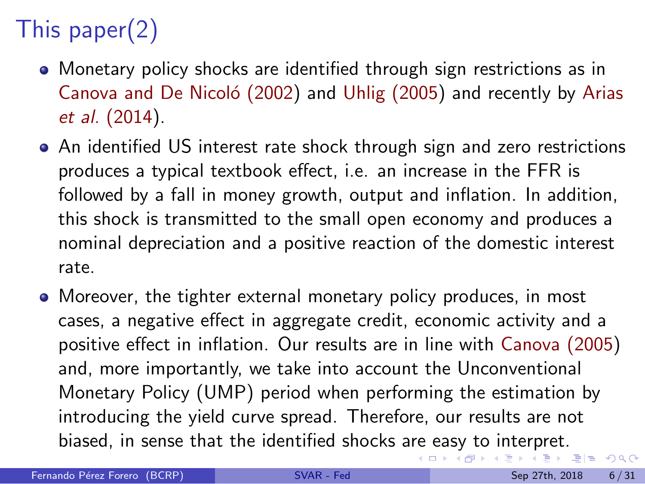# <span id="page-6-0"></span>This paper(2)

- Monetary policy shocks are identified through sign restrictions as in Canova and De Nicoló (2002) and [Uhlig \(2005\)](#page-65-4) and recently by [Arias](#page-61-4) *et al.* [\(2014\)](#page-61-4).
- An identified US interest rate shock through sign and zero restrictions produces a typical textbook effect, i.e. an increase in the FFR is followed by a fall in money growth, output and inflation. In addition, this shock is transmitted to the small open economy and produces a nominal depreciation and a positive reaction of the domestic interest rate.
- Moreover, the tighter external monetary policy produces, in most cases, a negative effect in aggregate credit, economic activity and a positive effect in inflation. Our results are in line with [Canova \(2005\)](#page-61-1) and, more importantly, we take into account the Unconventional Monetary Policy (UMP) period when performing the estimation by introducing the yield curve spread. Therefore, our results are not biased, in sense that the identified shocks a[re](#page-6-0) [ea](#page-7-0)[sy](#page-5-0) [t](#page-6-0)[o](#page-7-0)[i](#page-0-0)[n](#page-1-0)[t](#page-7-0)[e](#page-7-0)[r](#page-0-0)[p](#page-1-0)ret[.](#page-0-0)<br>

(ロ) ( d )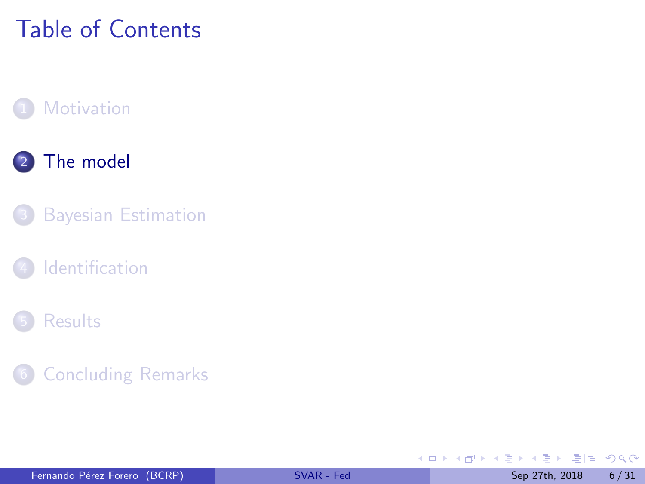# <span id="page-7-0"></span>Table of Contents

#### **[Motivation](#page-1-0)**

#### 2 [The model](#page-7-0)

- **[Bayesian Estimation](#page-21-0)**
- **[Identification](#page-25-0)**

#### **[Results](#page-28-0)**

#### **[Concluding Remarks](#page-33-0)**

 $\rightarrow$   $\equiv$   $\rightarrow$ **IN** 

4 ロト 4 何 ト 4 日

 $E|E \cap Q$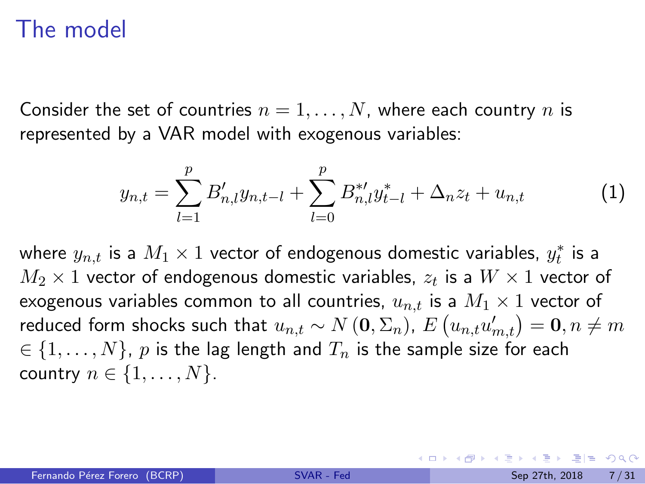### The model

Consider the set of countries  $n = 1, \ldots, N$ , where each country n is represented by a VAR model with exogenous variables:

$$
y_{n,t} = \sum_{l=1}^{p} B'_{n,l} y_{n,t-l} + \sum_{l=0}^{p} B^{*l}_{n,l} y^{*}_{t-l} + \Delta_{n} z_{t} + u_{n,t}
$$
 (1)

where  $y_{n,t}$  is a  $M_1 \times 1$  vector of endogenous domestic variables,  $y_t^*$  $_{t}^{\ast}$  is a  $M_2 \times 1$  vector of endogenous domestic variables,  $z_t$  is a  $W \times 1$  vector of exogenous variables common to all countries,  $u_{n,t}$  is a  $M_1 \times 1$  vector of reduced form shocks such that  $u_{n,t} \sim N\left(\mathbf{0},\Sigma_n\right)$  ,  $E\left(u_{n,t} u_{m,t}'\right) = \mathbf{0}, n \neq m$  $i \in \{1, \ldots, N\}$ , p is the lag length and  $T_n$  is the sample size for each country  $n \in \{1, \ldots, N\}$ .

<span id="page-8-0"></span>K ロ ▶ K 何 ▶ K 로 ▶ K 로 ▶ 그리는 K) Q (^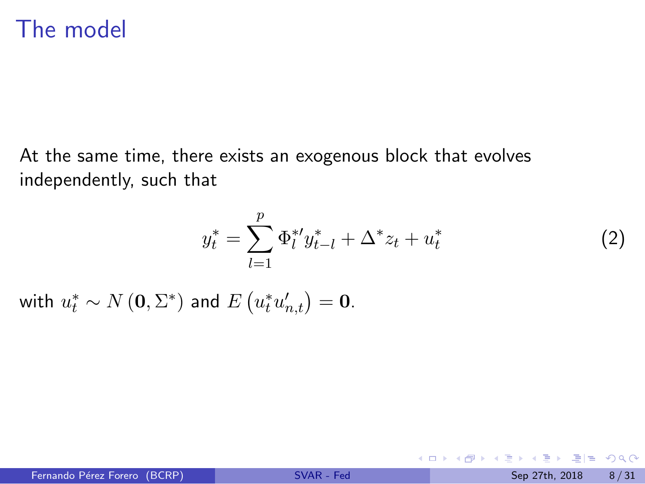### The model

At the same time, there exists an exogenous block that evolves independently, such that

$$
y_t^* = \sum_{l=1}^p \Phi_l^{*l} y_{t-l}^* + \Delta^* z_t + u_t^*
$$
 (2)

<span id="page-9-0"></span>**K ロ ▶ K 何 ▶ K 日** 

with  $u_t^* \sim N\left(\mathbf{0}, \Sigma^*\right)$  and  $E\left(u_t^* u_{n,t}'\right) = \mathbf{0}$ .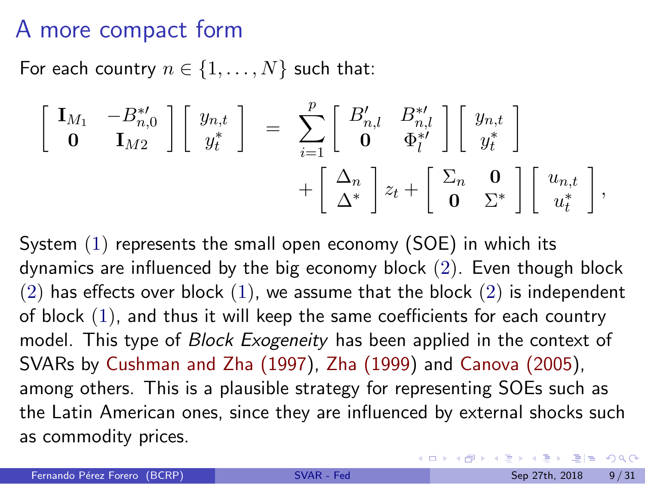### A more compact form

For each country  $n \in \{1, \ldots, N\}$  such that:

$$
\begin{bmatrix}\n\mathbf{I}_{M_1} & -B_{n,0}^{*'} \\
\mathbf{0} & \mathbf{I}_{M2}\n\end{bmatrix}\n\begin{bmatrix}\ny_{n,t} \\
y_t^*\n\end{bmatrix} = \n\sum_{i=1}^p\n\begin{bmatrix}\nB'_{n,l} & B_{n,l}^{*'} \\
\mathbf{0} & \Phi_l^{*'}\n\end{bmatrix}\n\begin{bmatrix}\ny_{n,t} \\
y_t^*\n\end{bmatrix} + \n\begin{bmatrix}\n\Delta_n \\
\Delta^*\n\end{bmatrix} z_t + \n\begin{bmatrix}\n\Sigma_n & \mathbf{0} \\
\mathbf{0} & \Sigma^*\n\end{bmatrix}\n\begin{bmatrix}\nu_{n,t} \\
u_t^*\n\end{bmatrix},
$$

System [\(1\)](#page-8-0) represents the small open economy (SOE) in which its dynamics are influenced by the big economy block [\(2\)](#page-9-0). Even though block  $(2)$  has effects over block  $(1)$ , we assume that the block  $(2)$  is independent of block [\(1\)](#page-8-0), and thus it will keep the same coefficients for each country model. This type of *Block Exogeneity* has been applied in the context of SVARs by [Cushman and Zha \(1997\)](#page-62-4), [Zha \(1999\)](#page-65-2) and [Canova \(2005\)](#page-61-1), among others. This is a plausible strategy for representing SOEs such as the Latin American ones, since they are influenced by external shocks such as commodity prices.

KOD KARD KED KED EIE VAA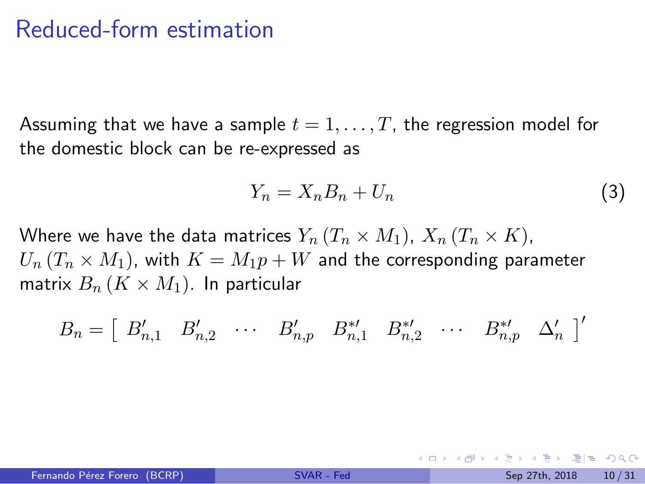Assuming that we have a sample  $t = 1, \ldots, T$ , the regression model for the domestic block can be re-expressed as

<span id="page-11-0"></span>
$$
Y_n = X_n B_n + U_n \tag{3}
$$

Where we have the data matrices  $Y_n$   $(T_n \times M_1)$ ,  $X_n$   $(T_n \times K)$ ,  $U_n (T_n \times M_1)$ , with  $K = M_1 p + W$  and the corresponding parameter matrix  $B_n$   $(K \times M_1)$ . In particular

$$
B_n = \left[ \begin{array}{cccc} B'_{n,1} & B'_{n,2} & \cdots & B'_{n,p} & B^{*'}_{n,1} & B^{*'}_{n,2} & \cdots & B^{*'}_{n,p} & \Delta'_{n} \end{array} \right]'
$$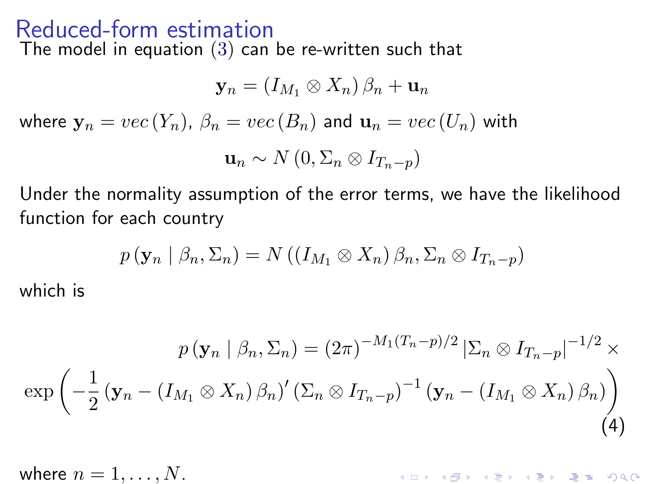The model in equation [\(3\)](#page-11-0) can be re-written such that

$$
\mathbf{y}_n = (I_{M_1} \otimes X_n) \beta_n + \mathbf{u}_n
$$
  
where  $\mathbf{y}_n = vec(Y_n)$ ,  $\beta_n = vec(B_n)$  and  $\mathbf{u}_n = vec(U_n)$  with  

$$
\mathbf{u}_n \sim N(0, \Sigma_n \otimes I_{T_n-p})
$$

Under the normality assumption of the error terms, we have the likelihood function for each country

$$
p(\mathbf{y}_n \mid \beta_n, \Sigma_n) = N((I_{M_1} \otimes X_n) \beta_n, \Sigma_n \otimes I_{T_n-p})
$$

which is

$$
p(\mathbf{y}_n \mid \beta_n, \Sigma_n) = (2\pi)^{-M_1(T_n - p)/2} |\Sigma_n \otimes I_{T_n - p}|^{-1/2} \times
$$
  

$$
\exp\left(-\frac{1}{2}(\mathbf{y}_n - (I_{M_1} \otimes X_n) \beta_n)'(\Sigma_n \otimes I_{T_n - p})^{-1}(\mathbf{y}_n - (I_{M_1} \otimes X_n) \beta_n)\right)
$$
  
(4)

<span id="page-12-0"></span>where  $n = 1, \ldots, N$ . K ロ ▶ ( d ) | K 글 ) | K 글 ) | 글| 끝 | ⊙ Q ( o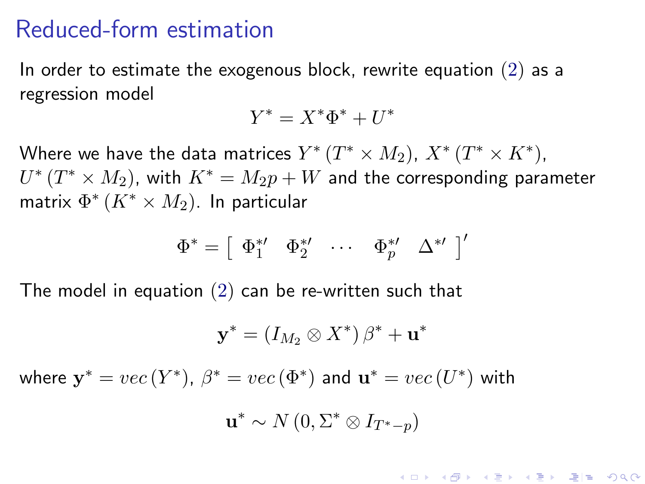In order to estimate the exogenous block, rewrite equation  $(2)$  as a regression model

$$
Y^* = X^* \Phi^* + U^*
$$

Where we have the data matrices  $Y^{*}\left( T^{*}\times M_{2}\right)$ ,  $X^{*}\left( T^{*}\times K^{*}\right)$ ,  $U^{*}\left( T^{*}\times M_{2}\right)$ , with  $K^{*}=M_{2}p+W$  and the corresponding parameter matrix  $\Phi^* \left( K^* \times M_2 \right)$ . In particular

$$
\Phi^* = \left[\begin{array}{cccc} \Phi_1^{*\prime} & \Phi_2^{*\prime} & \cdots & \Phi_p^{*\prime} & \Delta^{*\prime}\end{array}\right]'
$$

The model in equation [\(2\)](#page-9-0) can be re-written such that

$$
\mathbf{y}^* = (I_{M_2} \otimes X^*) \beta^* + \mathbf{u}^*
$$

where  $y^* = vec(Y^*)$ ,  $\beta^* = vec(\Phi^*)$  and  $\mathbf{u}^* = vec(U^*)$  with

$$
\mathbf{u}^* \sim N\left(0, \Sigma^* \otimes I_{T^*-p}\right)
$$

K ロ K K @ K K W B K X B K W B H B Y 9 Q @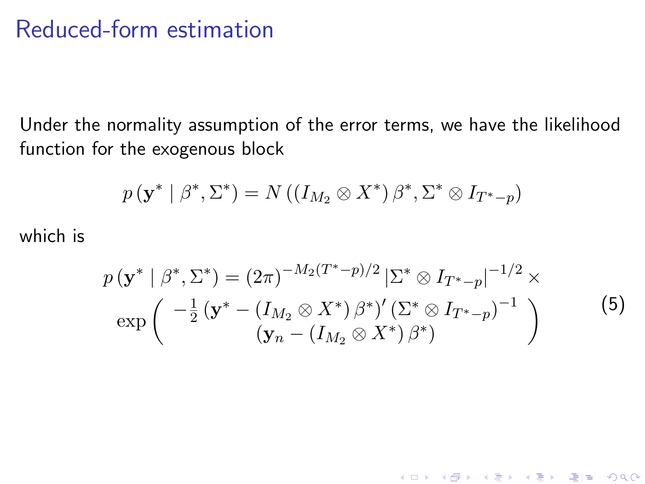Under the normality assumption of the error terms, we have the likelihood function for the exogenous block

$$
p(\mathbf{y}^* \mid \beta^*, \Sigma^*) = N((I_{M_2} \otimes X^*) \beta^*, \Sigma^* \otimes I_{T^*-p})
$$

which is

<span id="page-14-0"></span>
$$
p(\mathbf{y}^* | \beta^*, \Sigma^*) = (2\pi)^{-M_2(T^*-p)/2} |\Sigma^* \otimes I_{T^*-p}|^{-1/2} \times
$$
  
\n
$$
\exp\left(\frac{-\frac{1}{2}(\mathbf{y}^* - (I_{M_2} \otimes X^*) \beta^*)' (\Sigma^* \otimes I_{T^*-p})^{-1}}{(\mathbf{y}_n - (I_{M_2} \otimes X^*) \beta^*)}\right)
$$
\n(5)

(ロ) (御) (君) (君) (君) 碧田 のんぺ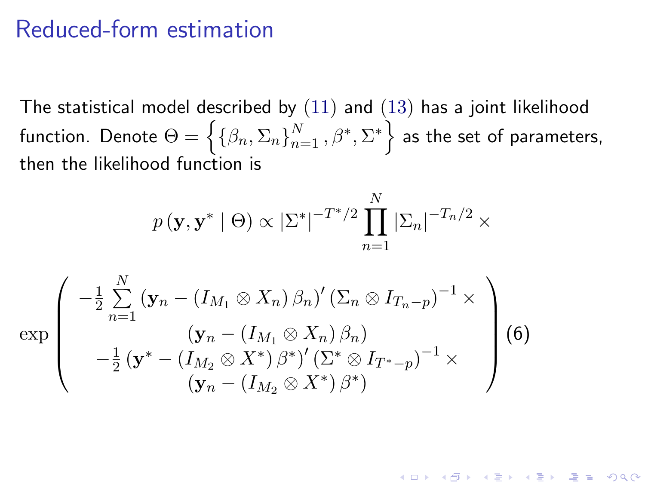<span id="page-15-0"></span>The statistical model described by  $(11)$  and  $(13)$  has a joint likelihood function. Denote  $\Theta = \left\{\{\beta_n, \Sigma_n\}_{n=1}^N, \beta^*, \Sigma^*\right\}$  as the set of parameters, then the likelihood function is

$$
p(\mathbf{y}, \mathbf{y}^* | \Theta) \propto |\Sigma^*|^{-T^*/2} \prod_{n=1}^N |\Sigma_n|^{-T_n/2} \times
$$

K ロ K K @ K K W B K X B K G 및 B K YO Q @

$$
\exp\left(\begin{array}{c} -\frac{1}{2}\sum\limits_{n=1}^N\left(\mathbf{y}_n-\left(I_{M_1}\otimes X_n\right)\beta_n\right)'(\Sigma_n\otimes I_{T_n-p})^{-1}\times \\ \left(\mathbf{y}_n-\left(I_{M_1}\otimes X_n\right)\beta_n\right) \\ -\frac{1}{2}\left(\mathbf{y}^*-\left(I_{M_2}\otimes X^*\right)\beta^*\right)'(\Sigma^*\otimes I_{T^*-p})^{-1}\times \\ \left(\mathbf{y}_n-\left(I_{M_2}\otimes X^*\right)\beta^*\right)\end{array}\right)\tag{6}
$$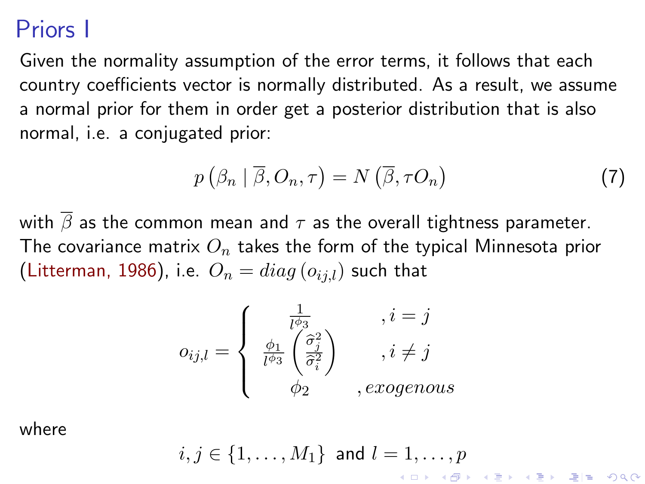### <span id="page-16-1"></span>Priors I

Given the normality assumption of the error terms, it follows that each country coefficients vector is normally distributed. As a result, we assume a normal prior for them in order get a posterior distribution that is also normal, i.e. a conjugated prior:

<span id="page-16-0"></span>
$$
p\left(\beta_n \mid \overline{\beta}, O_n, \tau\right) = N\left(\overline{\beta}, \tau O_n\right) \tag{7}
$$

with  $\overline{\beta}$  as the common mean and  $\tau$  as the overall tightness parameter. The covariance matrix  $O_n$  takes the form of the typical Minnesota prior [\(Litterman, 1986\)](#page-64-2), i.e.  $O_n = diag(o_{i,j})$  such that

$$
o_{ij,l} = \begin{cases} \frac{1}{l^{\phi_3}} & , i = j \\ \frac{\phi_1}{l^{\phi_3}} \left( \frac{\hat{\sigma}_j^2}{\hat{\sigma}_i^2} \right) & , i \neq j \\ \phi_2 & , exogenous \end{cases}
$$

where

$$
i,j\in\{1,\ldots,M_1\}\text{ and }l=1,\ldots,p
$$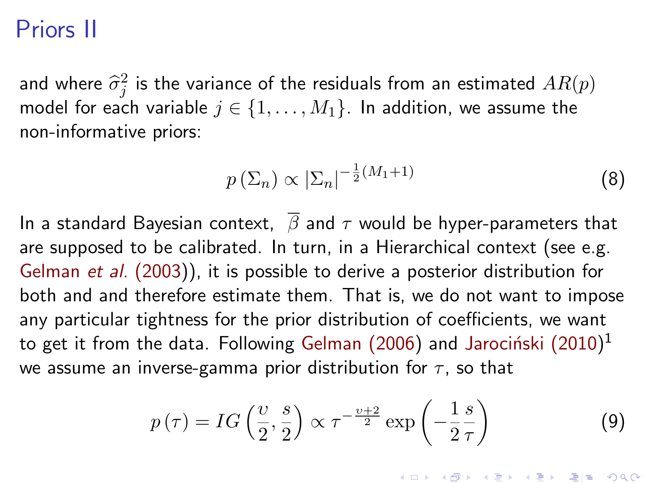### Priors II

and where  $\hat{\sigma}_j^2$  is the variance of the residuals from an estimated  $AR(p)$ <br>model for and unrights  $i \in [1, \ldots, M]$ , the addition we assume that model for each variable  $j \in \{1, ..., M_1\}$ . In addition, we assume the non-informative priors:

<span id="page-17-0"></span>
$$
p\left(\Sigma_n\right) \propto \left|\Sigma_n\right|^{-\frac{1}{2}(M_1+1)}\tag{8}
$$

In a standard Bayesian context,  $\overline{\beta}$  and  $\tau$  would be hyper-parameters that are supposed to be calibrated. In turn, in a Hierarchical context (see e.g. [Gelman](#page-63-4) *et al.* (2003)), it is possible to derive a posterior distribution for both and and therefore estimate them. That is, we do not want to impose any particular tightness for the prior distribution of coefficients, we want to get it from the data. Following [Gelman \(2006\)](#page-63-5) and Jarociński (2010) $^{\rm 1}$ we assume an inverse-gamma prior distribution for  $\tau$ , so that

$$
p(\tau) = IG\left(\frac{\upsilon}{2}, \frac{s}{2}\right) \propto \tau^{-\frac{\upsilon+2}{2}} \exp\left(-\frac{1}{2}\frac{s}{\tau}\right)
$$
 (9)

<span id="page-17-1"></span>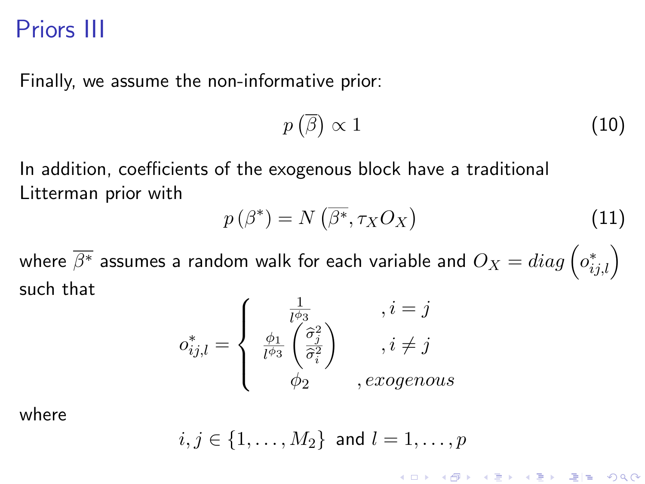### Priors III

Finally, we assume the non-informative prior:

<span id="page-18-1"></span><span id="page-18-0"></span>
$$
p\left(\overline{\beta}\right) \propto 1\tag{10}
$$

K ロ K K @ K K W B K X B K G 및 B K YO Q @

In addition, coefficients of the exogenous block have a traditional Litterman prior with

$$
p(\beta^*) = N\left(\overline{\beta^*}, \tau_X O_X\right) \tag{11}
$$

where  $\overline{\beta^*}$  assumes a random walk for each variable and  $O_X=diag\left( o_{ij,l}^*\right)$ such that

$$
o_{ij,l}^* = \begin{cases} \frac{1}{l^{\phi_3}} & , i = j \\ \frac{\phi_1}{l^{\phi_3}} \left( \frac{\hat{\sigma}_j^2}{\hat{\sigma}_i^2} \right) & , i \neq j \\ \phi_2 & , exogenous \end{cases}
$$

where

$$
i,j\in\{1,\ldots,M_2\}\text{ and }l=1,\ldots,p
$$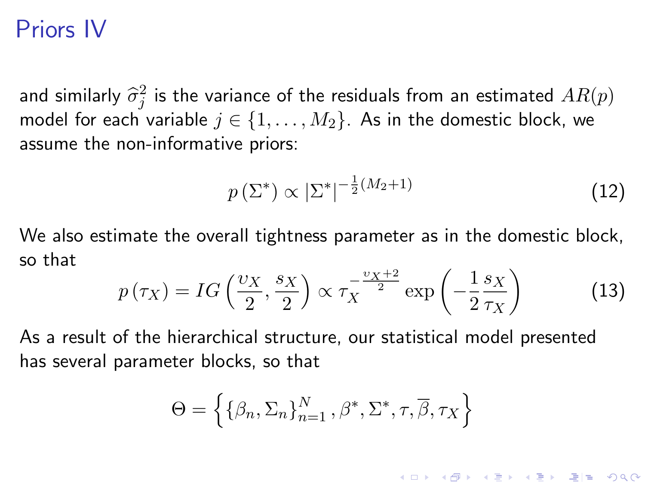### <span id="page-19-2"></span>Priors IV

and similarly  $\hat{\sigma}_j^2$  is the variance of the residuals from an estimated  $AR(p)$ <br>model for each unright  $i \in [1, \ldots, M]$ . As in the demographic black was model for each variable  $j \in \{1, \ldots, M_2\}$ . As in the domestic block, we assume the non-informative priors:

<span id="page-19-0"></span>
$$
p\left(\Sigma^*\right) \propto |\Sigma^*|^{-\frac{1}{2}(M_2+1)}\tag{12}
$$

<span id="page-19-1"></span>(ロ) (御) (唐) (唐) 道→ 唐| 990

We also estimate the overall tightness parameter as in the domestic block, so that

$$
p(\tau_X) = IG\left(\frac{\upsilon_X}{2}, \frac{s_X}{2}\right) \propto \tau_X^{-\frac{\upsilon_X + 2}{2}} \exp\left(-\frac{1}{2}\frac{s_X}{\tau_X}\right) \tag{13}
$$

As a result of the hierarchical structure, our statistical model presented has several parameter blocks, so that

$$
\Theta = \left\{ {\beta_n, \Sigma_n} \}_{n=1}^N, \beta^*, \Sigma^*, \tau, \overline{\beta}, \tau_X \right\}
$$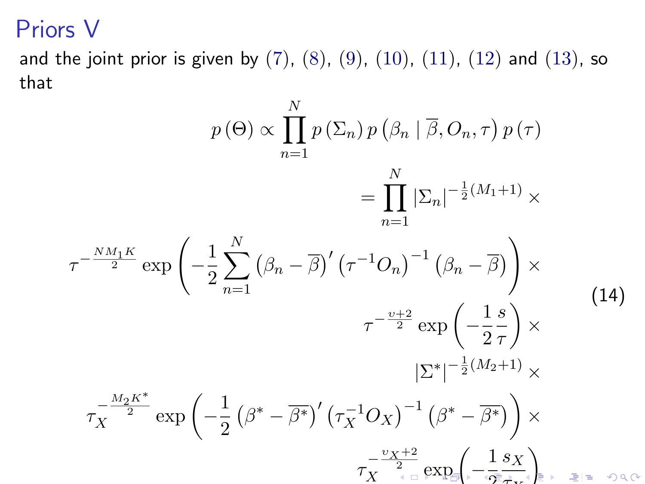### <span id="page-20-0"></span>Priors V

and the joint prior is given by  $(7)$ ,  $(8)$ ,  $(9)$ ,  $(10)$ ,  $(11)$ ,  $(12)$  and  $(13)$ , so that

$$
p(\Theta) \propto \prod_{n=1}^{N} p(\Sigma_n) p(\beta_n | \overline{\beta}, O_n, \tau) p(\tau)
$$
  
\n
$$
= \prod_{n=1}^{N} |\Sigma_n|^{-\frac{1}{2}(M_1+1)} \times
$$
  
\n
$$
\tau^{-\frac{NM_1 K}{2}} \exp\left(-\frac{1}{2} \sum_{n=1}^{N} (\beta_n - \overline{\beta})' (\tau^{-1} O_n)^{-1} (\beta_n - \overline{\beta})\right) \times
$$
  
\n
$$
\tau^{-\frac{\nu+2}{2}} \exp\left(-\frac{1}{2} \overline{\tau}\right) \times
$$
  
\n
$$
|\Sigma^*|^{-\frac{1}{2}(M_2+1)} \times
$$
  
\n
$$
\tau_X^{-\frac{M_2 K^*}{2}} \exp\left(-\frac{1}{2} (\beta^* - \overline{\beta^*})' (\tau_X^{-1} O_X)^{-1} (\beta^* - \overline{\beta^*})\right) \times
$$
  
\n
$$
\tau_X^{-\frac{\nu_X + 2}{2}} \exp\left(-\frac{1}{2} \overline{\tau} \times \frac{1}{2} \exp\left(-\frac{1}{2} \overline{\tau} \times \frac{1}{2} \right) \times \tau_X^{-\frac{\nu_X + 2}{2}} \exp\left(-\frac{1}{2} \overline{\tau} \times \frac{1}{2} \right) \times \tau_X^{-\frac{\nu_X + 2}{2}} \exp\left(-\frac{1}{2} \overline{\tau} \times \frac{1}{2} \right)
$$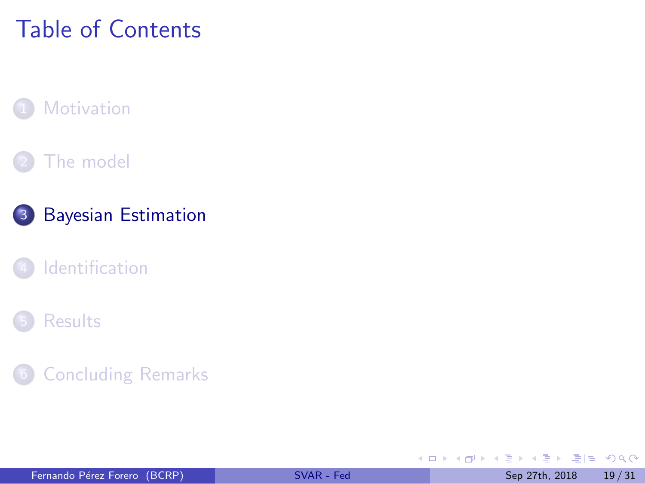# <span id="page-21-0"></span>Table of Contents

#### **[Motivation](#page-1-0)**

#### [The model](#page-7-0)



#### **[Identification](#page-25-0)**

#### **[Results](#page-28-0)**

#### **[Concluding Remarks](#page-33-0)**

不自下

 $\rightarrow$   $\equiv$ 

٠

 $E|E \cap Q$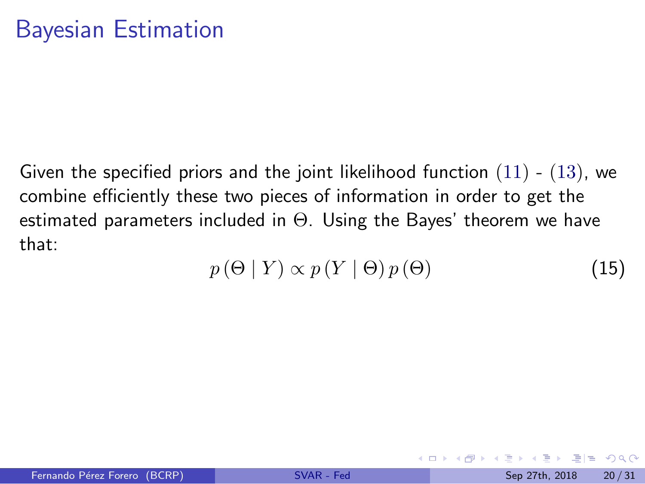Given the specified priors and the joint likelihood function  $(11)$  -  $(13)$ , we combine efficiently these two pieces of information in order to get the estimated parameters included in Θ. Using the Bayes' theorem we have that:

$$
p(\Theta | Y) \propto p(Y | \Theta) p(\Theta) \tag{15}
$$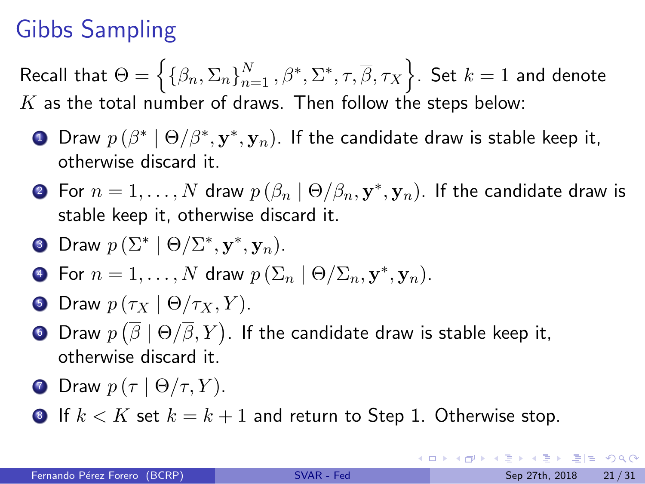# Gibbs Sampling

Recall that  $\Theta = \left\{\{\beta_n, \Sigma_n\}_{n=1}^N, \beta^*, \Sigma^*, \tau, \overline{\beta}, \tau_X\right\}$ . Set  $k=1$  and denote  $K$  as the total number of draws. Then follow the steps below:

- $\textbf{D}$  Draw  $p\left(\beta^*\mid\Theta/\beta^*,\mathbf{y}^*,\mathbf{y}_n\right)$ . If the candidate draw is stable keep it, otherwise discard it.
- $2$  For  $n=1,\ldots,N$  draw  $p\left(\beta_n\mid\Theta/\beta_n, \mathbf{y}^*, \mathbf{y}_n\right)$ . If the candidate draw is stable keep it, otherwise discard it.
- **3** Draw  $p(\Sigma^* | \Theta / \Sigma^*, \mathbf{y}^*, \mathbf{y}_n)$ .
- **•** For  $n = 1, ..., N$  draw  $p\left(\sum_{n} |\Theta/\sum_{n}, \mathbf{y}^*, \mathbf{y}_n\right)$ .
- **5** Draw  $p(\tau_X \mid \Theta/\tau_X, Y)$ .
- $\bullet$  Draw  $p\left(\overline{\beta}\mid\Theta/\overline{\beta},Y\right)$ . If the candidate draw is stable keep it, otherwise discard it.
- **D** Draw  $p(\tau | \Theta/\tau, Y)$ .
- **8** If  $k < K$  set  $k = k + 1$  and return to Step 1. Otherwise stop.

KEL KALK BEK BEK ARA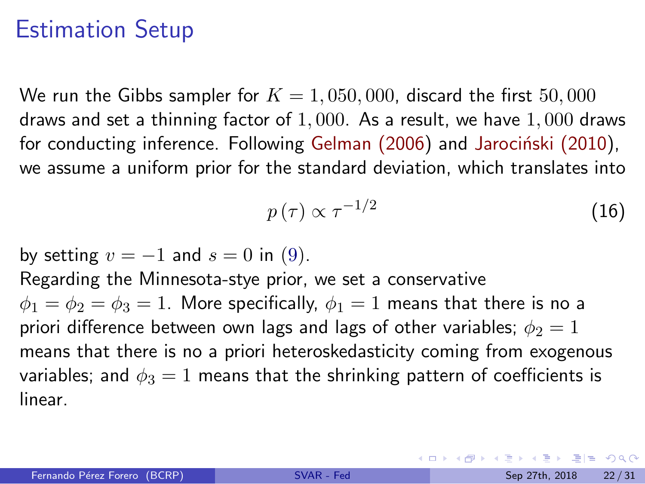### Estimation Setup

We run the Gibbs sampler for  $K = 1,050,000$ , discard the first  $50,000$ draws and set a thinning factor of  $1,000$ . As a result, we have  $1,000$  draws for conducting inference. Following Gelman  $(2006)$  and Jarocinski  $(2010)$ , we assume a uniform prior for the standard deviation, which translates into

$$
p(\tau) \propto \tau^{-1/2} \tag{16}
$$

by setting  $v = -1$  and  $s = 0$  in [\(9\)](#page-17-1).

Regarding the Minnesota-stye prior, we set a conservative  $\phi_1 = \phi_2 = \phi_3 = 1$ . More specifically,  $\phi_1 = 1$  means that there is no a priori difference between own lags and lags of other variables;  $\phi_2 = 1$ means that there is no a priori heteroskedasticity coming from exogenous variables; and  $\phi_3 = 1$  means that the shrinking pattern of coefficients is linear.

KED KARD KED KED EE YOUR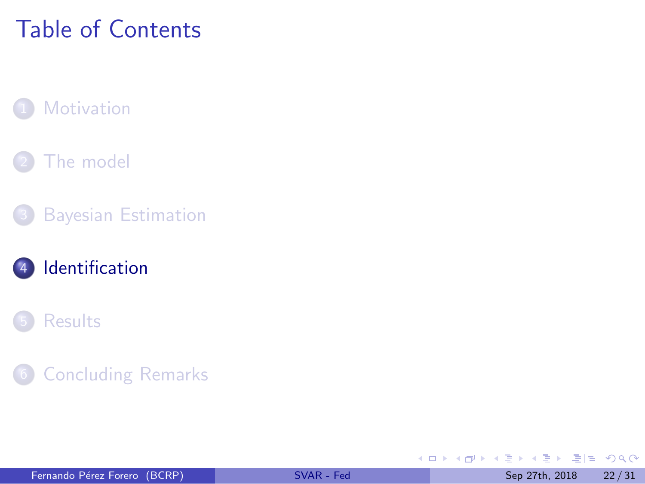# <span id="page-25-0"></span>Table of Contents

#### **[Motivation](#page-1-0)**

#### [The model](#page-7-0)

#### **[Bayesian Estimation](#page-21-0)**

#### 4 [Identification](#page-25-0)

#### **[Results](#page-28-0)**

#### **[Concluding Remarks](#page-33-0)**

**K ロ ▶ K 何 ▶** 

Þ  $\triangleright$   $\rightarrow$   $\equiv$ 

 $\rightarrow$ 

 $E|E \cap Q$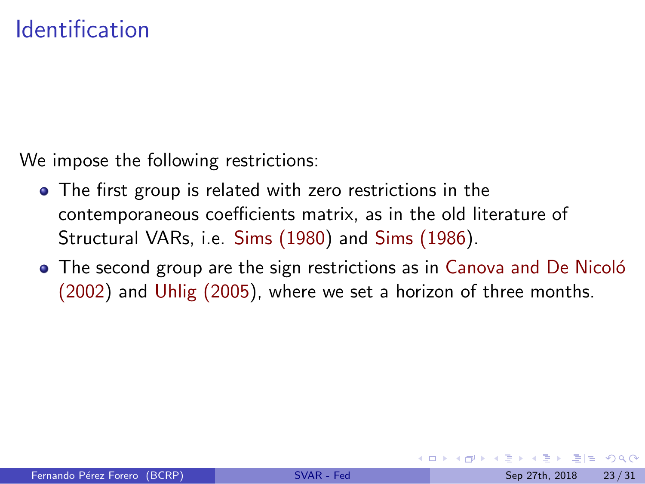We impose the following restrictions:

- The first group is related with zero restrictions in the contemporaneous coefficients matrix, as in the old literature of Structural VARs, i.e. [Sims \(1980\)](#page-64-3) and [Sims \(1986\)](#page-64-4).
- The second group are the sign restrictions as in Canova and De Nicoló [\(2002\)](#page-61-3) and [Uhlig \(2005\)](#page-65-4), where we set a horizon of three months.

 $E|E \cap Q$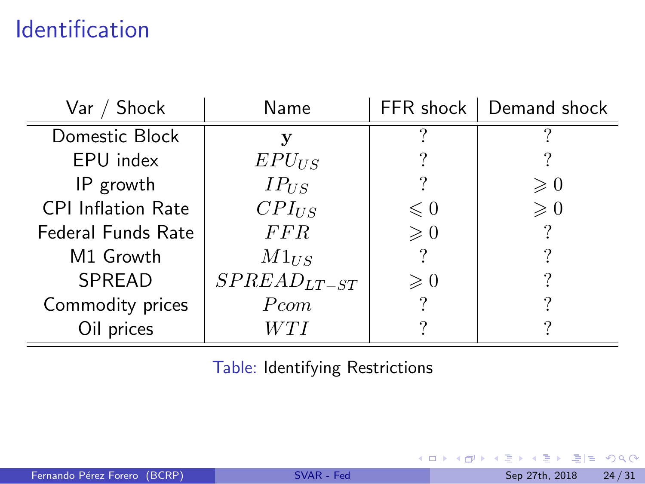# **Identification**

| Var / Shock               | Name             | $FFR$ shock $ $ | Demand shock  |
|---------------------------|------------------|-----------------|---------------|
| Domestic Block            | v                | ച               | ິ             |
| EPU index                 | $EPU_{US}$       |                 |               |
| IP growth                 | $IP_{US}$        |                 | $\geqslant 0$ |
| <b>CPI Inflation Rate</b> | $CPI_{US}$       | $\leqslant 0$   | $\geqslant 0$ |
| <b>Federal Funds Rate</b> | <i>FFR</i>       | $\geqslant 0$   | ?             |
| M1 Growth                 | $M1_{US}$        |                 |               |
| SPREAD                    | $SPREAD_{LT-ST}$ | $\geqslant 0$   | ?             |
| Commodity prices          | Pcom             | ?               |               |
| Oil prices                | WTI              |                 |               |

Table: Identifying Restrictions

**K ロ ト K 伊 ト K**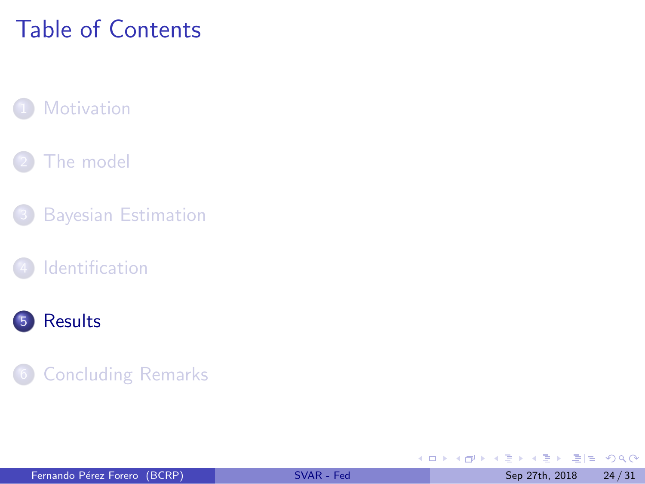# <span id="page-28-0"></span>Table of Contents

#### **[Motivation](#page-1-0)**

#### [The model](#page-7-0)

- **[Bayesian Estimation](#page-21-0)**
- **[Identification](#page-25-0)**



#### **[Concluding Remarks](#page-33-0)**

**K ロ ▶ K 何 ▶ K** 

Þ  $\triangleright$   $\rightarrow$   $\equiv$   $E|E \cap Q$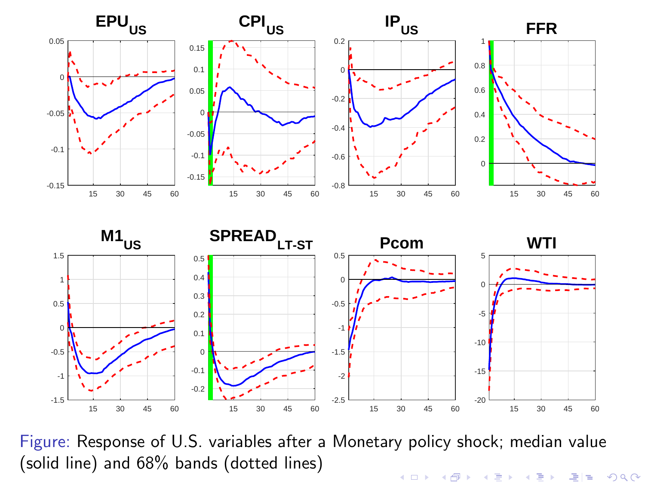



Figure: Response of U.S. variables after a Monetary policy shock; median value (solid line) and 68% bands (dotted lines)(ロ) (個) (星) (星) 격분  $2Q$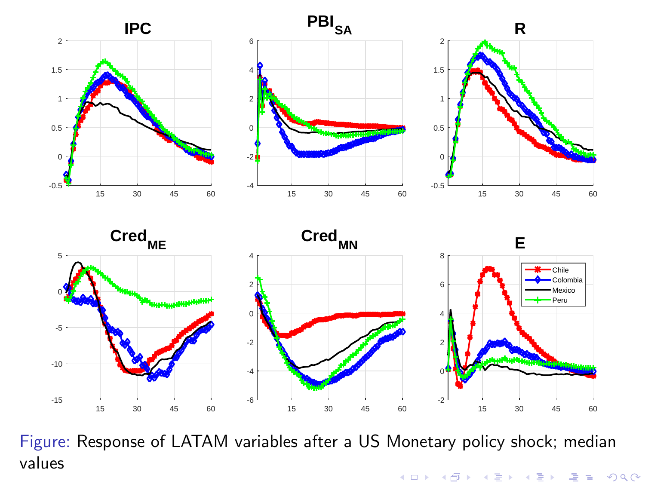







Figure: Response of LATAM variables after a US Monetary policy shock; median valuesメロメ メ都 メメモメ メモメー 국(국  $OQ$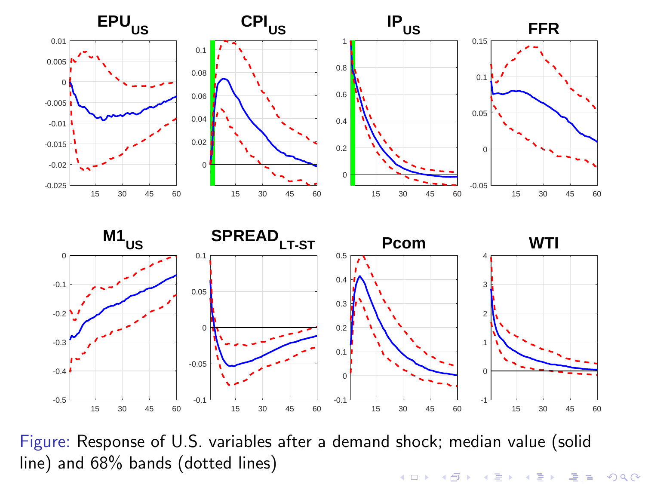



Figure: Response of U.S. variables after a demand shock; median value (solid line) and 68% bands (dotted lines)メロト メタト メミト メミト 국도

つくい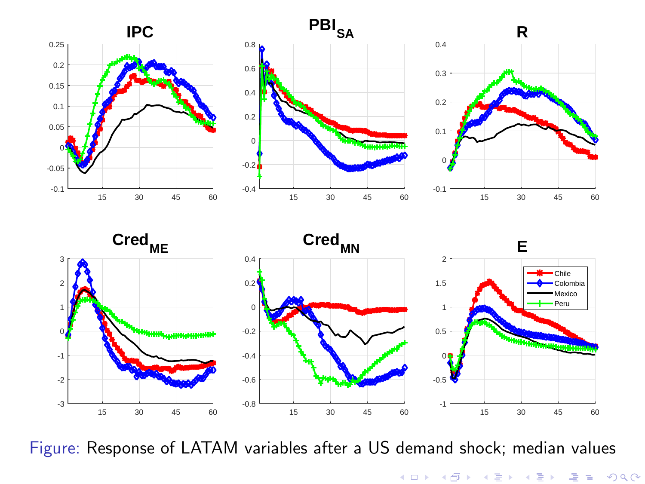







Figure: Response of LATAM variables after a US demand shock; median values

メロト メタト メミト メミト  $299$ 격분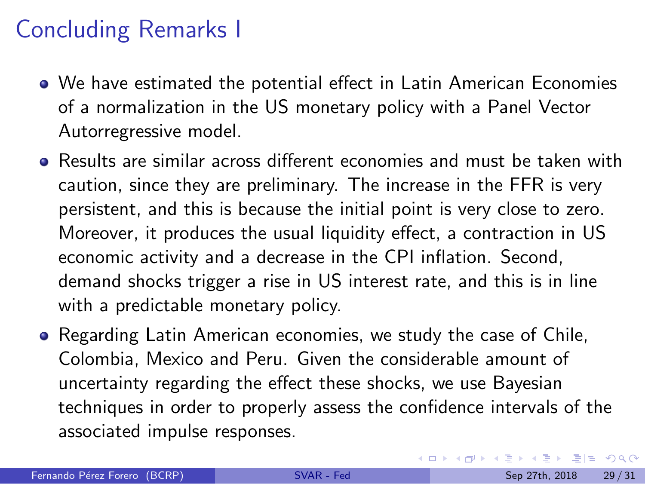## <span id="page-33-0"></span>Concluding Remarks I

- We have estimated the potential effect in Latin American Economies of a normalization in the US monetary policy with a Panel Vector Autorregressive model.
- Results are similar across different economies and must be taken with caution, since they are preliminary. The increase in the FFR is very persistent, and this is because the initial point is very close to zero. Moreover, it produces the usual liquidity effect, a contraction in US economic activity and a decrease in the CPI inflation. Second, demand shocks trigger a rise in US interest rate, and this is in line with a predictable monetary policy.
- Regarding Latin American economies, we study the case of Chile, Colombia, Mexico and Peru. Given the considerable amount of uncertainty regarding the effect these shocks, we use Bayesian techniques in order to properly assess the confidence intervals of the associated impulse responses.

KED KARD KED KED EE YOUR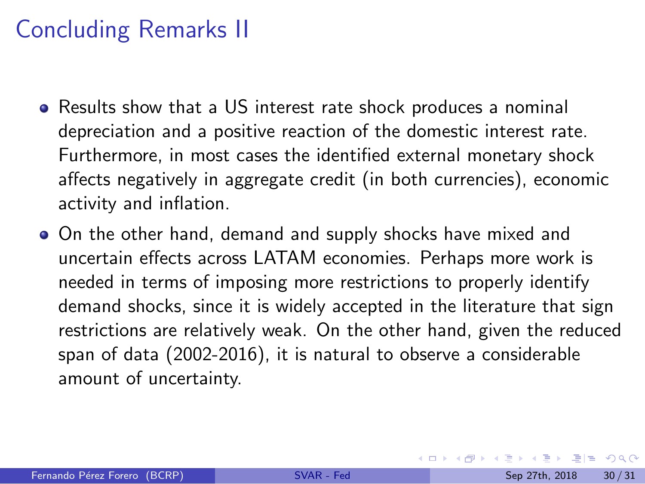## Concluding Remarks II

- Results show that a US interest rate shock produces a nominal depreciation and a positive reaction of the domestic interest rate. Furthermore, in most cases the identified external monetary shock affects negatively in aggregate credit (in both currencies), economic activity and inflation.
- On the other hand, demand and supply shocks have mixed and uncertain effects across LATAM economies. Perhaps more work is needed in terms of imposing more restrictions to properly identify demand shocks, since it is widely accepted in the literature that sign restrictions are relatively weak. On the other hand, given the reduced span of data (2002-2016), it is natural to observe a considerable amount of uncertainty.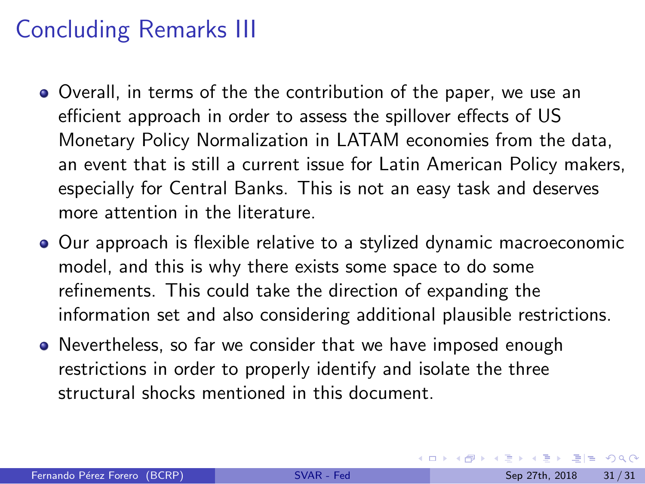## <span id="page-35-0"></span>Concluding Remarks III

- Overall, in terms of the the contribution of the paper, we use an efficient approach in order to assess the spillover effects of US Monetary Policy Normalization in LATAM economies from the data, an event that is still a current issue for Latin American Policy makers, especially for Central Banks. This is not an easy task and deserves more attention in the literature.
- Our approach is flexible relative to a stylized dynamic macroeconomic model, and this is why there exists some space to do some refinements. This could take the direction of expanding the information set and also considering additional plausible restrictions.
- Nevertheless, so far we consider that we have imposed enough restrictions in order to properly identify and isolate the three structural shocks mentioned in this document.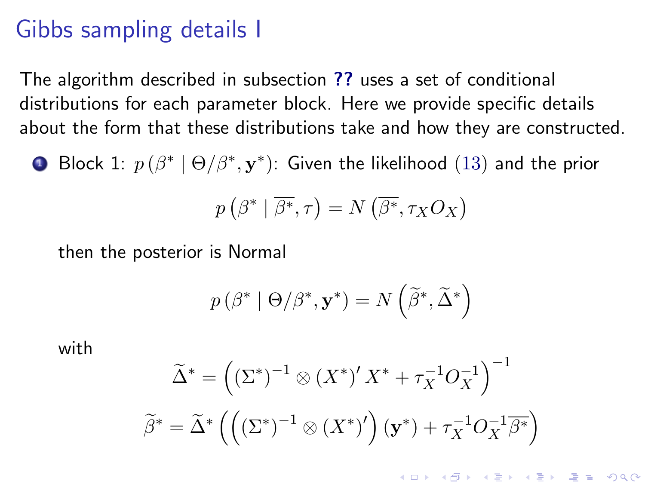### <span id="page-36-0"></span>Gibbs sampling details I

The algorithm described in subsection [??](#page-0-1) uses a set of conditional distributions for each parameter block. Here we provide specific details about the form that these distributions take and how they are constructed.

 $\bullet$  Block 1:  $p\left(\beta^*\mid\Theta/\beta^*,\mathbf{y}^*\right)$ : Given the likelihood  $(13)$  and the prior

$$
p\left(\beta^*\mid\overline{\beta^*},\tau\right)=N\left(\overline{\beta^*},\tau_XO_X\right)
$$

then the posterior is Normal

$$
p(\beta^* | \Theta/\beta^*, \mathbf{y}^*) = N\left(\widetilde{\beta}^*, \widetilde{\Delta}^*\right)
$$

with

$$
\widetilde{\Delta}^* = \left( (\Sigma^*)^{-1} \otimes (X^*)' X^* + \tau_X^{-1} O_X^{-1} \right)^{-1}
$$

$$
\widetilde{\beta}^* = \widetilde{\Delta}^* \left( \left( (\Sigma^*)^{-1} \otimes (X^*)' \right) (\mathbf{y}^*) + \tau_X^{-1} O_X^{-1} \overline{\beta^*} \right)
$$

K ロ ▶ K @ ▶ K 할 ▶ K 할 ▶ 그럴 ▶ 그럴 할 수 있다.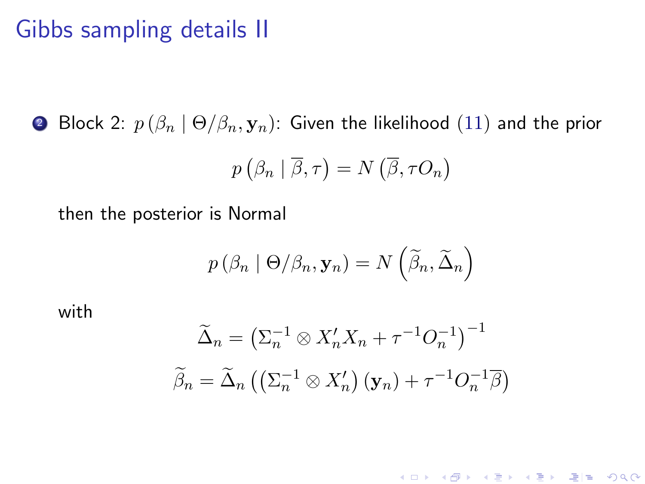### Gibbs sampling details II

**2** Block 2:  $p(\beta_n | \Theta/\beta_n, \mathbf{y}_n)$ : Given the likelihood [\(11\)](#page-12-0) and the prior

$$
p\left(\beta_n \mid \overline{\beta}, \tau\right) = N\left(\overline{\beta}, \tau O_n\right)
$$

then the posterior is Normal

$$
p\left(\beta_n \mid \Theta/\beta_n, \mathbf{y}_n\right) = N\left(\widetilde{\beta}_n, \widetilde{\Delta}_n\right)
$$

with

$$
\widetilde{\Delta}_n = \left(\Sigma_n^{-1} \otimes X_n' X_n + \tau^{-1} O_n^{-1}\right)^{-1}
$$

$$
\widetilde{\beta}_n = \widetilde{\Delta}_n \left(\left(\Sigma_n^{-1} \otimes X_n'\right) (\mathbf{y}_n) + \tau^{-1} O_n^{-1} \overline{\beta}\right)
$$

(ロ) (御) (唐) (唐) 道→ 唐| 990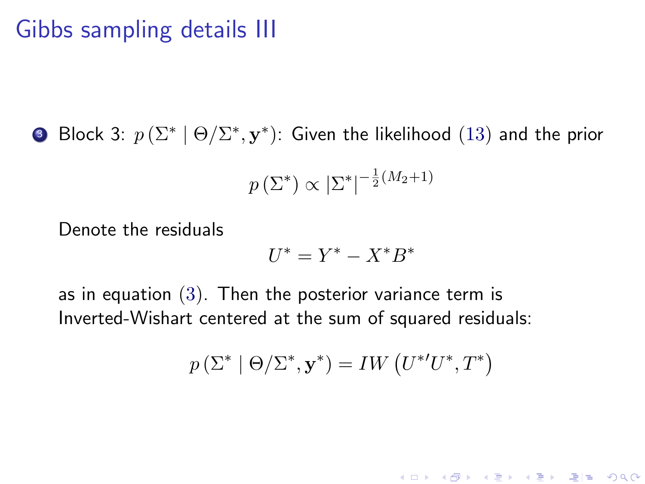### Gibbs sampling details III

■ Block 3:  $p(\Sigma^* | \Theta / \Sigma^*, \mathbf{y}^*)$ : Given the likelihood  $(13)$  and the prior

$$
p\left(\Sigma^*\right) \propto \left|\Sigma^*\right|^{-\frac{1}{2}(M_2+1)}
$$

Denote the residuals

$$
U^* = Y^* - X^*B^*
$$

as in equation  $(3)$ . Then the posterior variance term is Inverted-Wishart centered at the sum of squared residuals:

$$
p\left(\Sigma^* \mid \Theta/\Sigma^*, \mathbf{y}^*\right) = IW\left(U^{*'}U^*, T^*\right)
$$

(ロ) (御) (唐) (唐) 道→ 唐| 990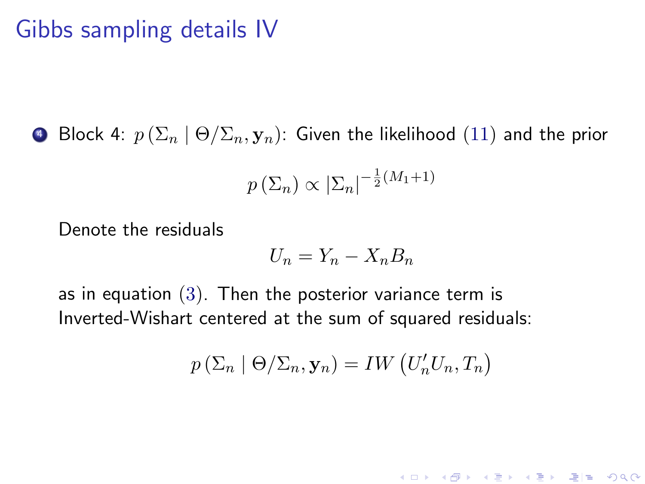### Gibbs sampling details IV

**•** Block 4:  $p(\Sigma_n \mid \Theta/\Sigma_n, \mathbf{y}_n)$ : Given the likelihood [\(11\)](#page-12-0) and the prior

$$
p\left(\Sigma_n\right) \propto \left|\Sigma_n\right|^{-\frac{1}{2}(M_1+1)}
$$

Denote the residuals

$$
U_n = Y_n - X_n B_n
$$

as in equation [\(3\)](#page-11-0). Then the posterior variance term is Inverted-Wishart centered at the sum of squared residuals:

$$
p\left(\Sigma_n \mid \Theta/\Sigma_n, \mathbf{y}_n\right) = IW\left(U'_n U_n, T_n\right)
$$

(ロ) (御) (唐) (唐) 道→ 唐| 990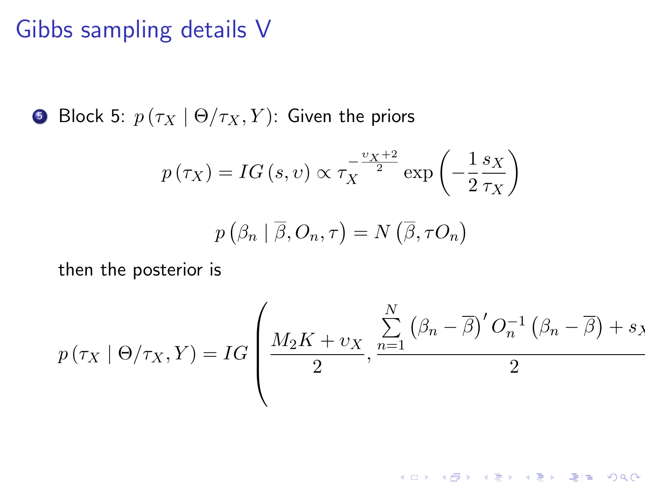### Gibbs sampling details V

**5** Block 5:  $p(\tau_X \mid \Theta/\tau_X, Y)$ : Given the priors

$$
p(\tau_X) = IG(s, v) \propto \tau_X^{-\frac{v_X + 2}{2}} \exp\left(-\frac{1}{2}\frac{s_X}{\tau_X}\right)
$$

$$
p\left(\beta_n \mid \overline{\beta}, O_n, \tau\right) = N\left(\overline{\beta}, \tau O_n\right)
$$

then the posterior is

$$
p(\tau_X \mid \Theta/\tau_X, Y) = IG\left(\frac{M_2K + \nu_X}{2}, \frac{\sum_{n=1}^{N} (\beta_n - \overline{\beta})' O_n^{-1} (\beta_n - \overline{\beta}) + s_X}{2}\right)
$$

(ロ) (御) (君) (君) (君) 碧田 のんぺ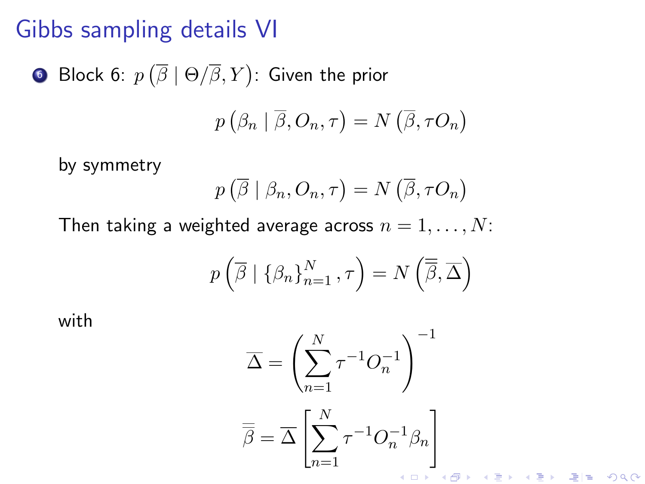### Gibbs sampling details VI

\n- Block 6: 
$$
p(\overline{\beta} \mid \Theta/\overline{\beta}, Y)
$$
: Given the prior
\n- $(2 + \overline{3}, 2)$
\n

$$
p\left(\beta_n \mid \overline{\beta}, O_n, \tau\right) = N\left(\overline{\beta}, \tau O_n\right)
$$

by symmetry

$$
p\left(\overline{\beta} \mid \beta_n, O_n, \tau\right) = N\left(\overline{\beta}, \tau O_n\right)
$$

Then taking a weighted average across  $n = 1, \ldots, N$ :

$$
p\left(\overline{\beta} \mid \left\{\beta_n\right\}_{n=1}^N, \tau\right) = N\left(\overline{\overline{\beta}}, \overline{\Delta}\right)
$$

with

$$
\overline{\Delta} = \left(\sum_{n=1}^{N} \tau^{-1} O_n^{-1}\right)^{-1}
$$

$$
\overline{\overline{\beta}} = \overline{\Delta} \left[\sum_{n=1}^{N} \tau^{-1} O_n^{-1} \beta_n\right]
$$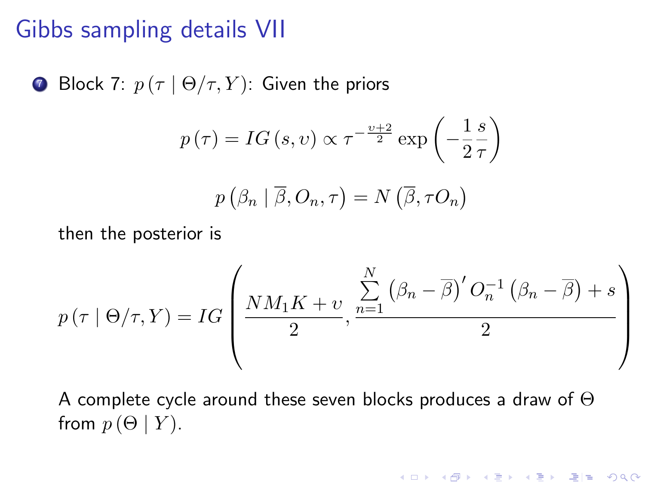### <span id="page-42-0"></span>Gibbs sampling details VII

**Block** 7: 
$$
p(\tau | \Theta/\tau, Y)
$$
: Given the priors

$$
p(\tau) = IG(s, v) \propto \tau^{-\frac{v+2}{2}} \exp\left(-\frac{1}{2}\frac{s}{\tau}\right)
$$

$$
p(\beta_n | \overline{\beta}, O_n, \tau) = N(\overline{\beta}, \tau O_n)
$$

then the posterior is

$$
p(\tau \mid \Theta/\tau, Y) = IG\left(\frac{NM_1K + \upsilon}{2}, \frac{\sum_{n=1}^{N} (\beta_n - \overline{\beta})' O_n^{-1} (\beta_n - \overline{\beta}) + s}{2}\right)
$$

A complete cycle around these seven blocks produces a draw of Θ from  $p(\Theta | Y)$ .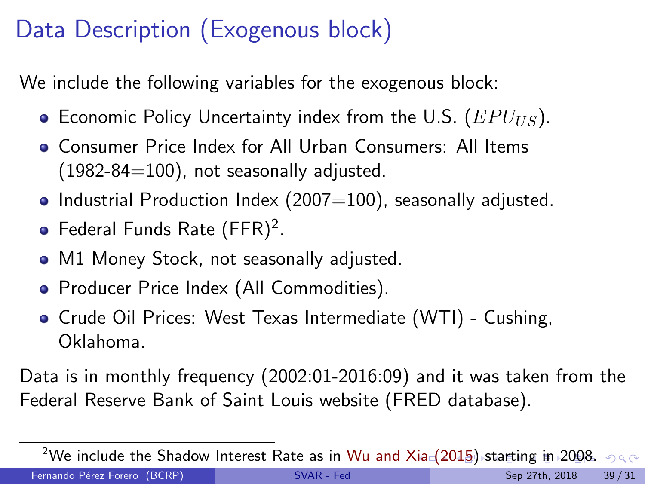# <span id="page-43-0"></span>Data Description (Exogenous block)

We include the following variables for the exogenous block:

- **Economic Policy Uncertainty index from the U.S.** ( $EPU_{US}$ ).
- Consumer Price Index for All Urban Consumers: All Items  $(1982-84=100)$ , not seasonally adjusted.
- Industrial Production Index (2007=100), seasonally adjusted.
- Federal Funds Rate  $(\mathsf{FFR})^2$ .
- M1 Money Stock, not seasonally adjusted.
- Producer Price Index (All Commodities).
- Crude Oil Prices: West Texas Intermediate (WTI) Cushing, Oklahoma.

Data is in monthly frequency (2002:01-2016:09) and it was taken from the Federal Reserve Bank of Saint Louis website (FRED database).

<sup>&</sup>lt;sup>2</sup>We include the Shadow Interest Rate as in [Wu and Xia \(2015](#page-65-6)[\)](#page-43-0) [s](#page-44-0)[t](#page-52-0)[ar](#page-43-0)t[in](#page-53-0)[g](#page-42-0)[i](#page-43-0)[n](#page-52-0) [2](#page-53-0)[0](#page-35-0)0[8](#page-36-0)[.](#page-65-5)  $\circ \circ \circ$ Fernando Pérez Forero (BCRP) [SVAR - Fed](#page-0-0) SVAR - Fed Sep 27th, 2018 39/31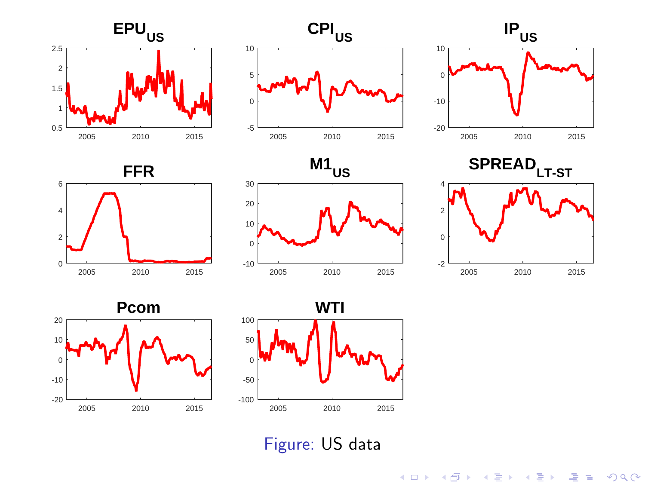<span id="page-44-0"></span>















Figure: US data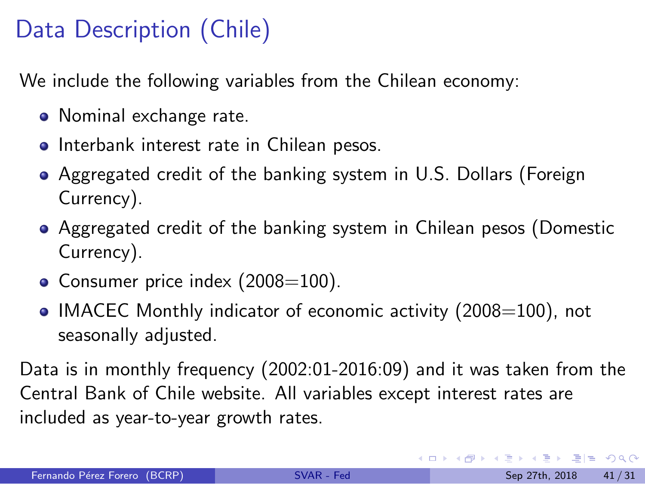# Data Description (Chile)

We include the following variables from the Chilean economy:

- Nominal exchange rate.
- **•** Interbank interest rate in Chilean pesos.
- Aggregated credit of the banking system in U.S. Dollars (Foreign Currency).
- Aggregated credit of the banking system in Chilean pesos (Domestic Currency).
- Consumer price index  $(2008=100)$ .
- IMACEC Monthly indicator of economic activity  $(2008=100)$ , not seasonally adjusted.

Data is in monthly frequency (2002:01-2016:09) and it was taken from the Central Bank of Chile website. All variables except interest rates are included as year-to-year growth rates.

KED KARD KED KED EE YOUR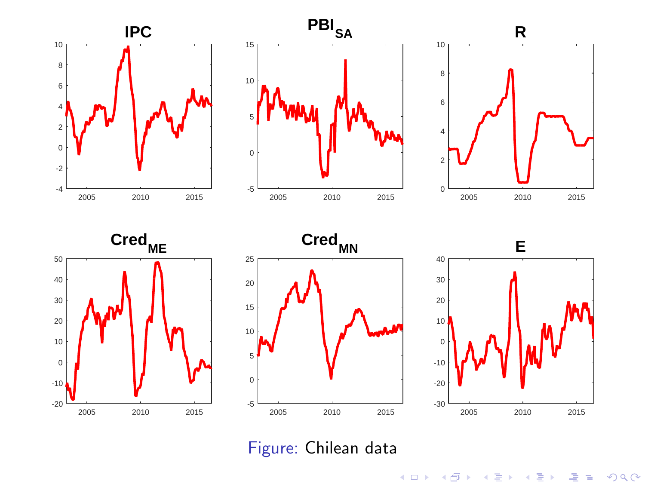











Figure: Chilean data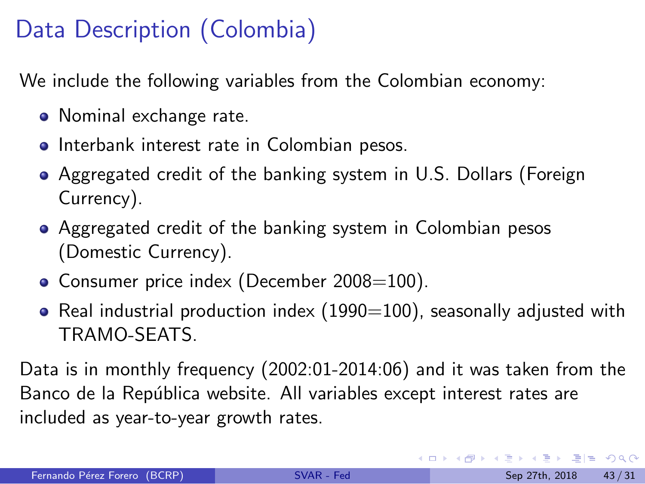# Data Description (Colombia)

We include the following variables from the Colombian economy:

- Nominal exchange rate.
- **•** Interbank interest rate in Colombian pesos.
- Aggregated credit of the banking system in U.S. Dollars (Foreign Currency).
- Aggregated credit of the banking system in Colombian pesos (Domestic Currency).
- Consumer price index (December 2008=100).
- Real industrial production index  $(1990=100)$ , seasonally adjusted with TRAMO-SEATS.

Data is in monthly frequency (2002:01-2014:06) and it was taken from the Banco de la República website. All variables except interest rates are included as year-to-year growth rates.

KED KARD KED KED EE YOUR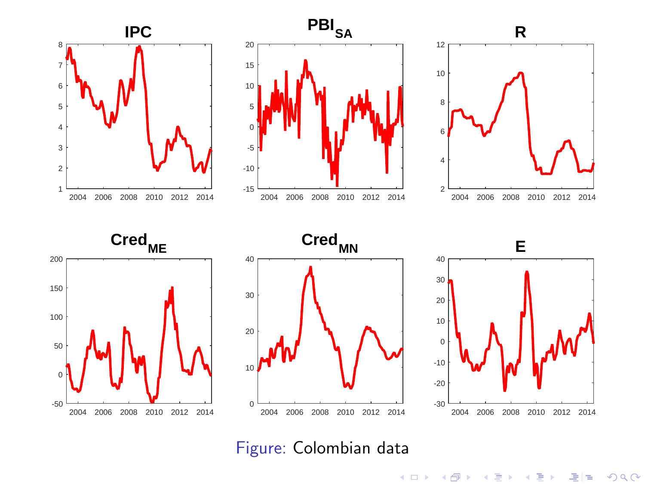

2004 2006 2008 2010 2012 2014 2004 2006 2008 2010 2012 2014 0 10

-50 0

#### 2004 2006 2008 2010 2012 2014 -30 -20 -10

Figure: Colombian data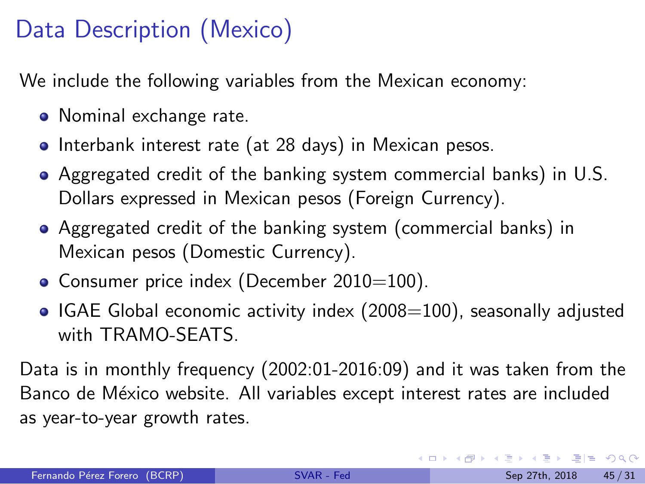# Data Description (Mexico)

We include the following variables from the Mexican economy:

- Nominal exchange rate.
- Interbank interest rate (at 28 days) in Mexican pesos.
- Aggregated credit of the banking system commercial banks) in U.S. Dollars expressed in Mexican pesos (Foreign Currency).
- Aggregated credit of the banking system (commercial banks) in Mexican pesos (Domestic Currency).
- Consumer price index (December 2010=100).
- $\bullet$  IGAE Global economic activity index (2008=100), seasonally adjusted with TRAMO-SEATS.

Data is in monthly frequency (2002:01-2016:09) and it was taken from the Banco de México website. All variables except interest rates are included as year-to-year growth rates.

KED KARD KED KED EE YOUR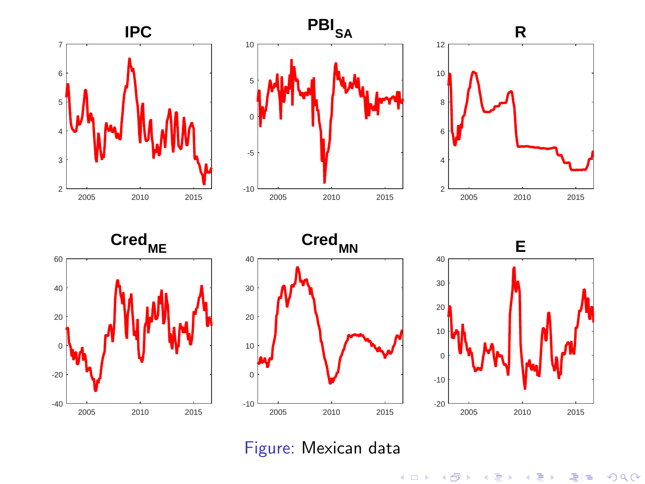







Figure: Mexican data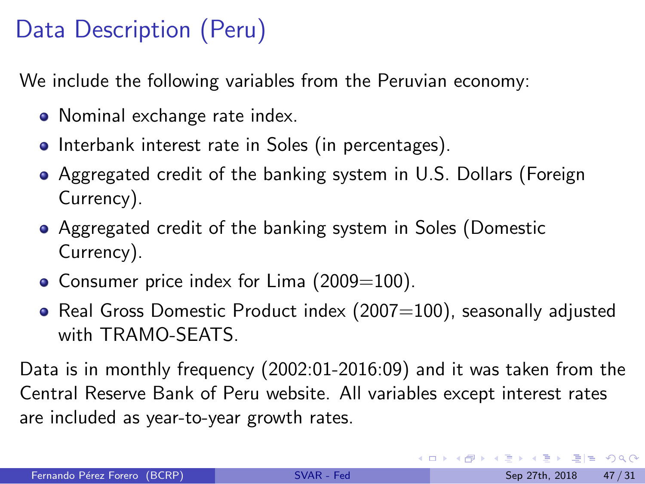# Data Description (Peru)

We include the following variables from the Peruvian economy:

- Nominal exchange rate index.
- Interbank interest rate in Soles (in percentages).
- Aggregated credit of the banking system in U.S. Dollars (Foreign Currency).
- Aggregated credit of the banking system in Soles (Domestic Currency).
- Consumer price index for Lima  $(2009=100)$ .
- Real Gross Domestic Product index  $(2007=100)$ , seasonally adjusted with TRAMO-SEATS.

Data is in monthly frequency (2002:01-2016:09) and it was taken from the Central Reserve Bank of Peru website. All variables except interest rates are included as year-to-year growth rates.

KED KARD KED KED EIE KOAA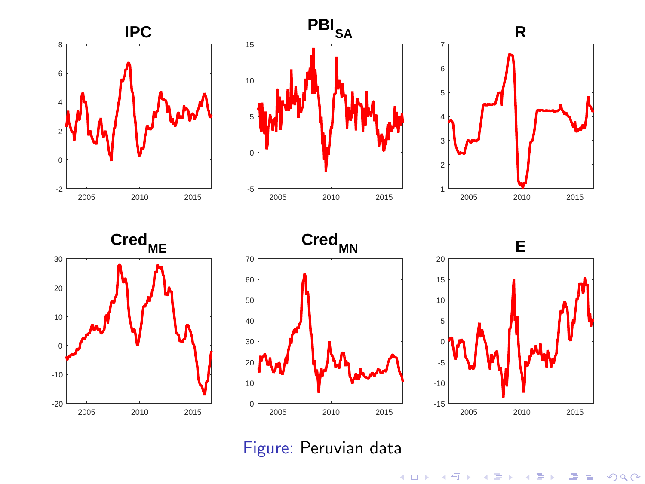<span id="page-52-0"></span>







Figure: Peruvian data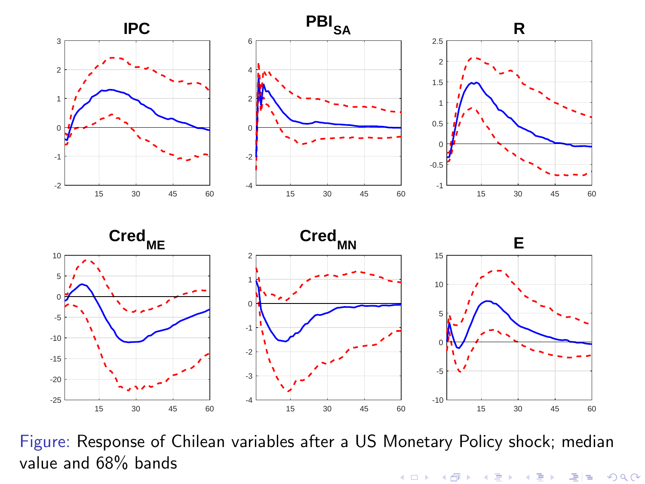<span id="page-53-0"></span>







Figure: Response of Chilean variables after a US Monetary Policy shock; median value and 68% bands★ ロ ▶ → 優 ▶ → 평 ▶ → 평 ▶ → 평 ਥ  $OQ$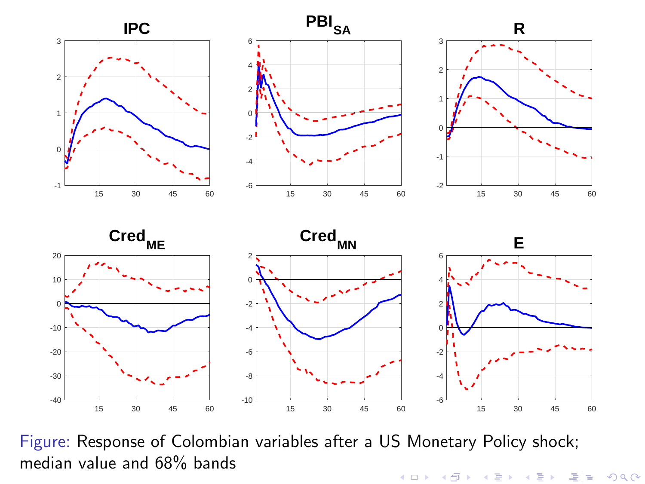







Figure: Response of Colombian variables after a US Monetary Policy shock; median value and 68% bands

★ ロメ (4 御) > (唐) > (唐) → 唐(唐)  $299$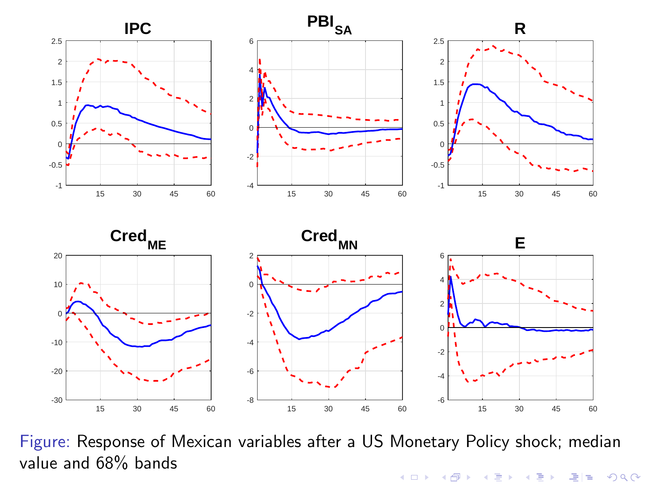

-6 -4

-20 -10



value and 68% bandsメロト メタト メミト メミト 국(국  $2Q$ 

-2

**R**

**E**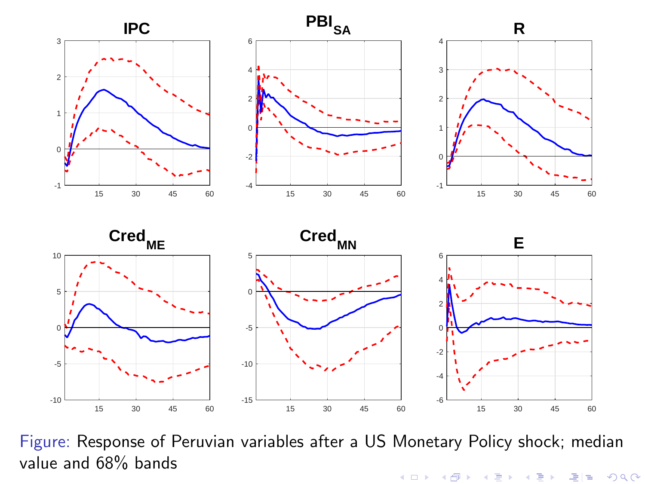

Figure: Response of Peruvian variables after a US Monetary Policy shock; median value and 68% bands★ ロメ (4 御) > (唐) > (唐) → 唐(唐)  $299$ 

15 30 45 60

15 30 45 60

15 30 45 60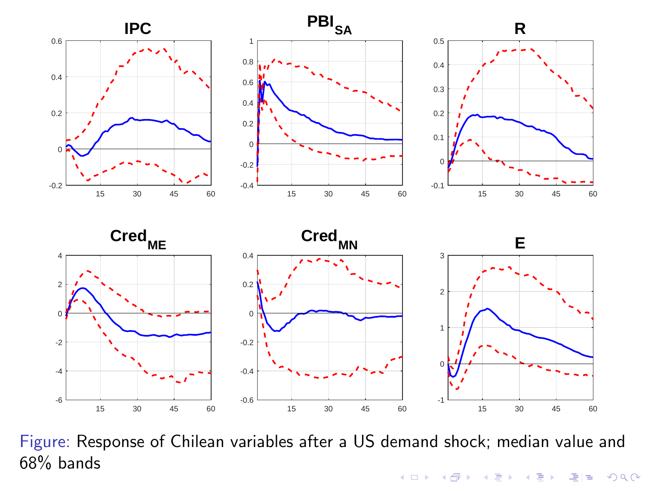







Figure: Response of Chilean variables after a US demand shock; median value and 68% bands★ ロ ▶ → 優 ▶ → 평 ▶ → 평 ▶ → 평 ਥ  $2Q$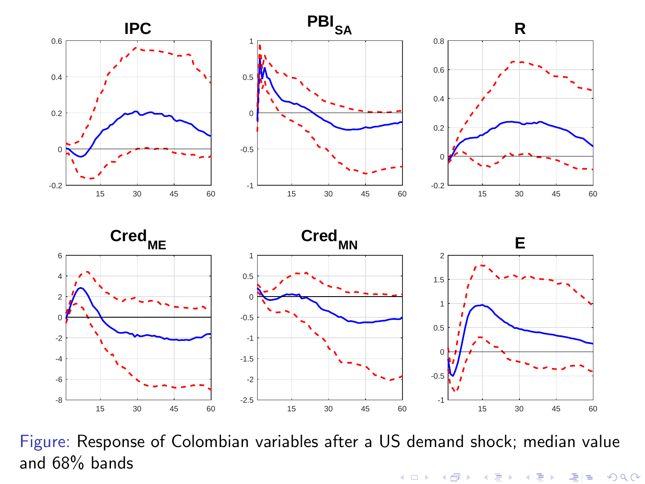







Figure: Response of Colombian variables after a US demand shock; median value and 68% bandsK ロ ▶ (K @ ) (K @ ) (高 ) 국(국  $2Q$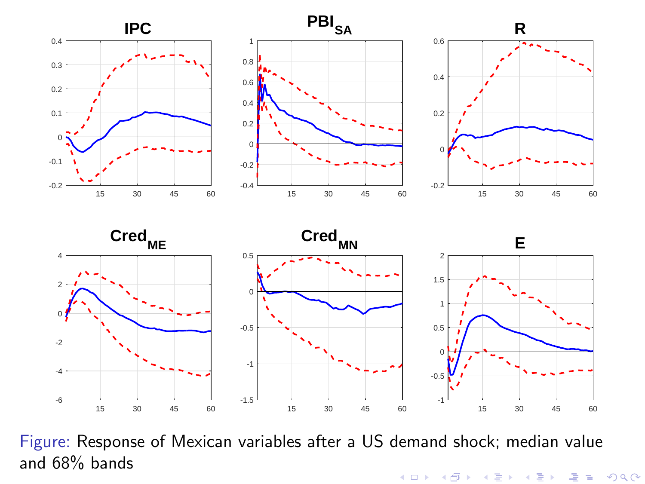







Figure: Response of Mexican variables after a US demand shock; median value and 68% bandsメロメ メ都 メメモメ メモメー 국(국  $2Q$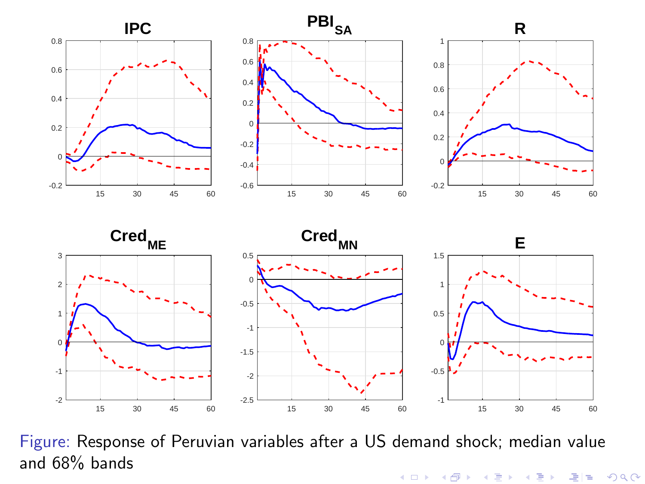







Figure: Response of Peruvian variables after a US demand shock; median value and 68% bandsメロト メタト メミト メミト 격분  $2Q$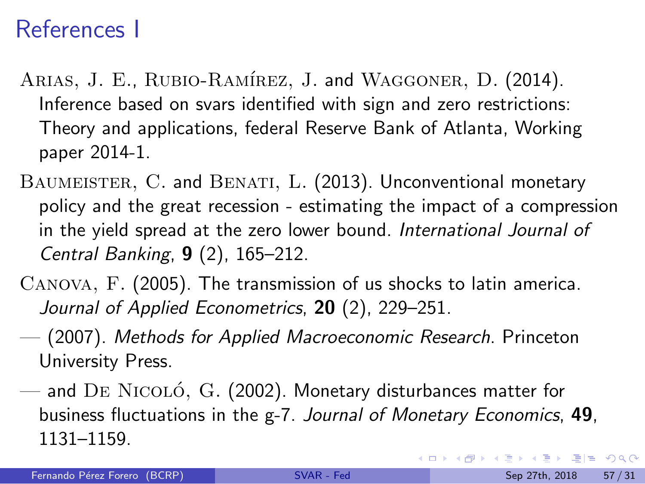### References I

- <span id="page-61-4"></span>ARIAS, J. E., RUBIO-RAMÍREZ, J. and WAGGONER, D. (2014). Inference based on svars identified with sign and zero restrictions: Theory and applications, federal Reserve Bank of Atlanta, Working paper 2014-1.
- <span id="page-61-0"></span>BAUMEISTER, C. and BENATI, L. (2013). Unconventional monetary policy and the great recession - estimating the impact of a compression in the yield spread at the zero lower bound. *International Journal of Central Banking*, 9 (2), 165–212.
- <span id="page-61-1"></span>Canova, F. (2005). The transmission of us shocks to latin america. *Journal of Applied Econometrics*, 20 (2), 229–251.
- <span id="page-61-2"></span>— (2007). *Methods for Applied Macroeconomic Research*. Princeton University Press.
- <span id="page-61-3"></span> $-$  and DE NICOLÓ, G. (2002). Monetary disturbances matter for business fluctuations in the g-7. *Journal of Monetary Economics*, 49, 1131–1159.

KOD KARD KED KED EIE VAA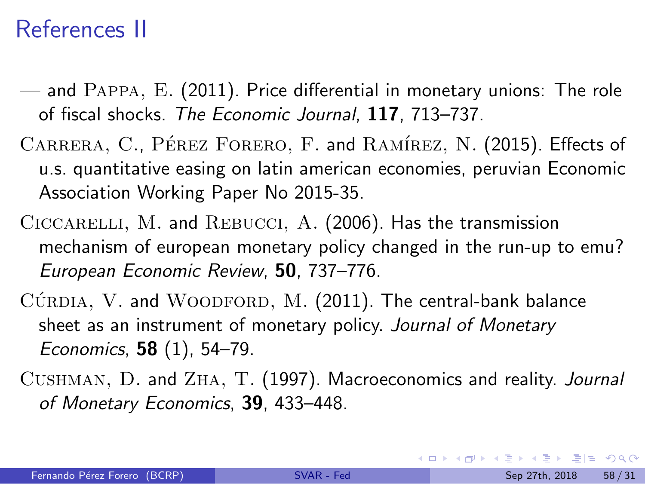### References II

- <span id="page-62-3"></span>— and Pappa, E. (2011). Price differential in monetary unions: The role of fiscal shocks. *The Economic Journal*, 117, 713–737.
- <span id="page-62-1"></span>CARRERA, C., PÉREZ FORERO, F. and RAMÍREZ, N. (2015). Effects of u.s. quantitative easing on latin american economies, peruvian Economic Association Working Paper No 2015-35.
- <span id="page-62-2"></span>CICCARELLI, M. and REBUCCI, A. (2006). Has the transmission mechanism of european monetary policy changed in the run-up to emu? *European Economic Review*, 50, 737–776.
- <span id="page-62-0"></span> $C$ ÚRDIA, V. and WOODFORD, M. (2011). The central-bank balance sheet as an instrument of monetary policy. *Journal of Monetary Economics*, 58 (1), 54–79.
- <span id="page-62-4"></span>Cushman, D. and Zha, T. (1997). Macroeconomics and reality. *Journal of Monetary Economics*, 39, 433–448.

KED KARD KED KED EE YOUR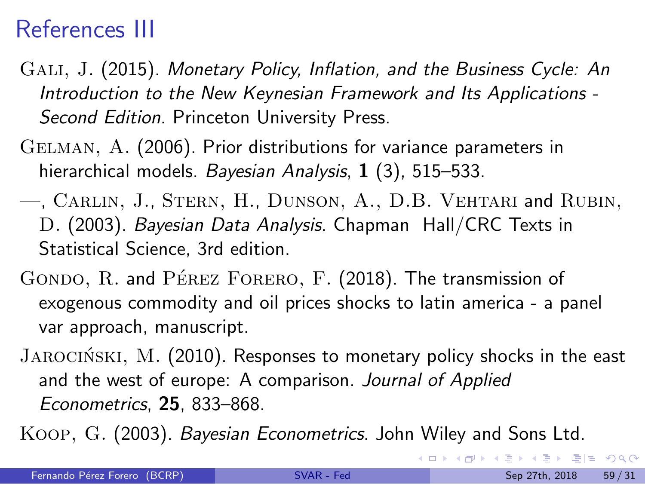### References III

- <span id="page-63-0"></span>Gali, J. (2015). *Monetary Policy, Inflation, and the Business Cycle: An Introduction to the New Keynesian Framework and Its Applications - Second Edition*. Princeton University Press.
- <span id="page-63-5"></span>Gelman, A. (2006). Prior distributions for variance parameters in hierarchical models. *Bayesian Analysis*, 1 (3), 515–533.
- <span id="page-63-4"></span>—, Carlin, J., Stern, H., Dunson, A., D.B. Vehtari and Rubin, D. (2003). *Bayesian Data Analysis*. Chapman Hall/CRC Texts in Statistical Science, 3rd edition.
- <span id="page-63-2"></span>GONDO, R. and PÉREZ FORERO, F. (2018). The transmission of exogenous commodity and oil prices shocks to latin america - a panel var approach, manuscript.
- <span id="page-63-1"></span>JAROCIŃSKI, M. (2010). Responses to monetary policy shocks in the east and the west of europe: A comparison. *Journal of Applied Econometrics*, 25, 833–868.
- <span id="page-63-3"></span>Koop, G. (2003). *Bayesian Econometrics*. John Wiley and Sons Ltd.

KOD KARD KED KED EIE VAA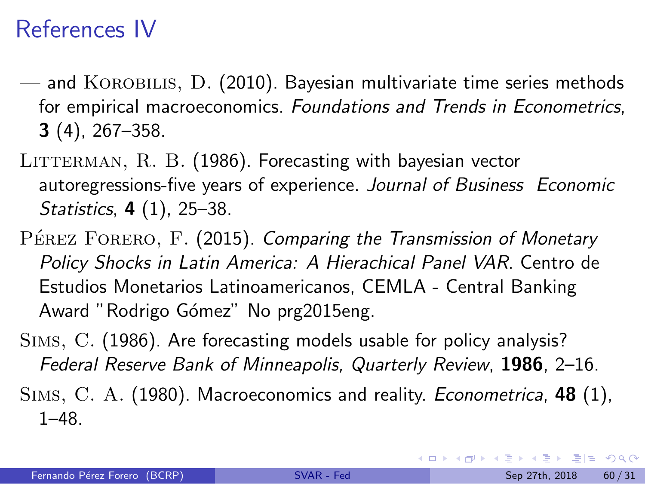### References IV

- <span id="page-64-1"></span> $-$  and KOROBILIS, D. (2010). Bayesian multivariate time series methods for empirical macroeconomics. *Foundations and Trends in Econometrics*, 3 (4), 267–358.
- <span id="page-64-2"></span>LITTERMAN, R. B. (1986). Forecasting with bayesian vector autoregressions-five years of experience. *Journal of Business Economic Statistics*, 4 (1), 25–38.
- <span id="page-64-0"></span>PÉREZ FORERO, F. (2015). *Comparing the Transmission of Monetary Policy Shocks in Latin America: A Hierachical Panel VAR*. Centro de Estudios Monetarios Latinoamericanos, CEMLA - Central Banking Award "Rodrigo Gómez" No prg2015eng.
- <span id="page-64-4"></span>Sims, C. (1986). Are forecasting models usable for policy analysis? *Federal Reserve Bank of Minneapolis, Quarterly Review*, 1986, 2–16.
- <span id="page-64-3"></span>Sims, C. A. (1980). Macroeconomics and reality. *Econometrica*, 48 (1), 1–48.

KEL KALK BEK BEK ARA